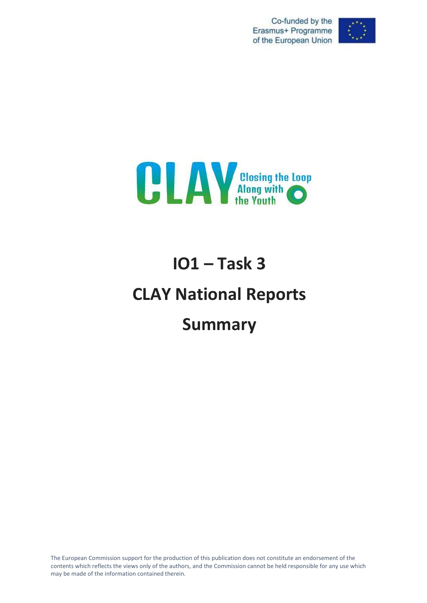Co-funded by the Erasmus+ Programme of the European Union





# **IO1 – Task 3 CLAY National Reports Summary**

The European Commission support for the production of this publication does not constitute an endorsement of the contents which reflects the views only of the authors, and the Commission cannot be held responsible for any use which may be made of the information contained therein.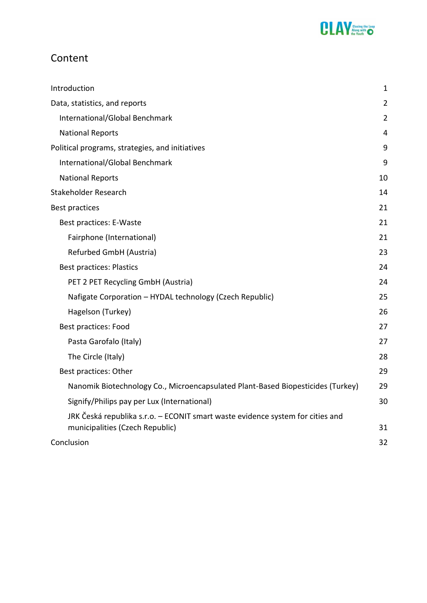

# Content

| Introduction                                                                    | 1              |
|---------------------------------------------------------------------------------|----------------|
| Data, statistics, and reports                                                   | $\overline{2}$ |
| International/Global Benchmark                                                  | $\overline{2}$ |
| <b>National Reports</b>                                                         | 4              |
| Political programs, strategies, and initiatives                                 | 9              |
| International/Global Benchmark                                                  | 9              |
| <b>National Reports</b>                                                         | 10             |
| Stakeholder Research                                                            | 14             |
| <b>Best practices</b>                                                           | 21             |
| Best practices: E-Waste                                                         | 21             |
| Fairphone (International)                                                       | 21             |
| Refurbed GmbH (Austria)                                                         | 23             |
| <b>Best practices: Plastics</b>                                                 | 24             |
| PET 2 PET Recycling GmbH (Austria)                                              | 24             |
| Nafigate Corporation - HYDAL technology (Czech Republic)                        | 25             |
| Hagelson (Turkey)                                                               | 26             |
| <b>Best practices: Food</b>                                                     | 27             |
| Pasta Garofalo (Italy)                                                          | 27             |
| The Circle (Italy)                                                              | 28             |
| Best practices: Other                                                           | 29             |
| Nanomik Biotechnology Co., Microencapsulated Plant-Based Biopesticides (Turkey) | 29             |
| Signify/Philips pay per Lux (International)                                     | 30             |
| JRK Česká republika s.r.o. – ECONIT smart waste evidence system for cities and  |                |
| municipalities (Czech Republic)                                                 | 31             |
| Conclusion                                                                      | 32             |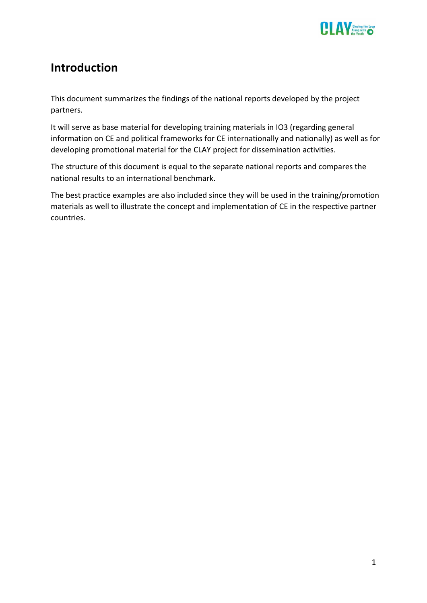

# <span id="page-2-0"></span>**Introduction**

This document summarizes the findings of the national reports developed by the project partners.

It will serve as base material for developing training materials in IO3 (regarding general information on CE and political frameworks for CE internationally and nationally) as well as for developing promotional material for the CLAY project for dissemination activities.

The structure of this document is equal to the separate national reports and compares the national results to an international benchmark.

The best practice examples are also included since they will be used in the training/promotion materials as well to illustrate the concept and implementation of CE in the respective partner countries.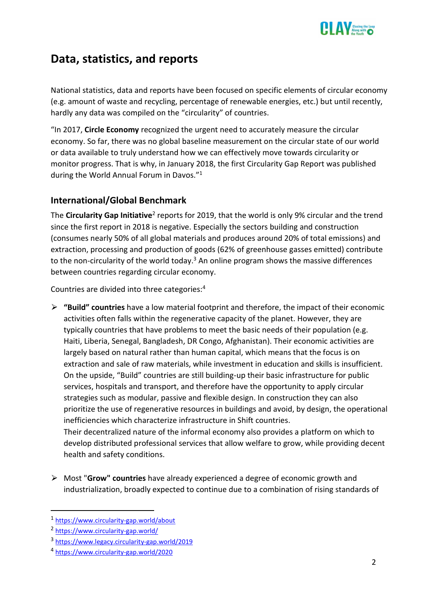

# <span id="page-3-0"></span>**Data, statistics, and reports**

National statistics, data and reports have been focused on specific elements of circular economy (e.g. amount of waste and recycling, percentage of renewable energies, etc.) but until recently, hardly any data was compiled on the "circularity" of countries.

"In 2017, **Circle Economy** recognized the urgent need to accurately measure the circular economy. So far, there was no global baseline measurement on the circular state of our world or data available to truly understand how we can effectively move towards circularity or monitor progress. That is why, in January 2018, the first Circularity Gap Report was published during the World Annual Forum in Davos."<sup>1</sup>

# <span id="page-3-1"></span>**International/Global Benchmark**

The Circularity Gap Initiative<sup>2</sup> reports for 2019, that the world is only 9% circular and the trend since the first report in 2018 is negative. Especially the sectors building and construction (consumes nearly 50% of all global materials and produces around 20% of total emissions) and extraction, processing and production of goods (62% of greenhouse gasses emitted) contribute to the non-circularity of the world today.<sup>3</sup> An online program shows the massive differences between countries regarding circular economy.

Countries are divided into three categories:<sup>4</sup>

⮚ **"Build" countries** have a low material footprint and therefore, the impact of their economic activities often falls within the regenerative capacity of the planet. However, they are typically countries that have problems to meet the basic needs of their population (e.g. Haiti, Liberia, Senegal, Bangladesh, DR Congo, Afghanistan). Their economic activities are largely based on natural rather than human capital, which means that the focus is on extraction and sale of raw materials, while investment in education and skills is insufficient. On the upside, "Build" countries are still building-up their basic infrastructure for public services, hospitals and transport, and therefore have the opportunity to apply circular strategies such as modular, passive and flexible design. In construction they can also prioritize the use of regenerative resources in buildings and avoid, by design, the operational inefficiencies which characterize infrastructure in Shift countries. Their decentralized nature of the informal economy also provides a platform on which to

develop distributed professional services that allow welfare to grow, while providing decent health and safety conditions.

⮚ Most "**Grow" countries** have already experienced a degree of economic growth and industrialization, broadly expected to continue due to a combination of rising standards of

<sup>1</sup> <https://www.circularity-gap.world/about>

<sup>&</sup>lt;sup>2</sup> <https://www.circularity-gap.world/>

<sup>3</sup> <https://www.legacy.circularity-gap.world/2019>

<sup>4</sup> <https://www.circularity-gap.world/2020>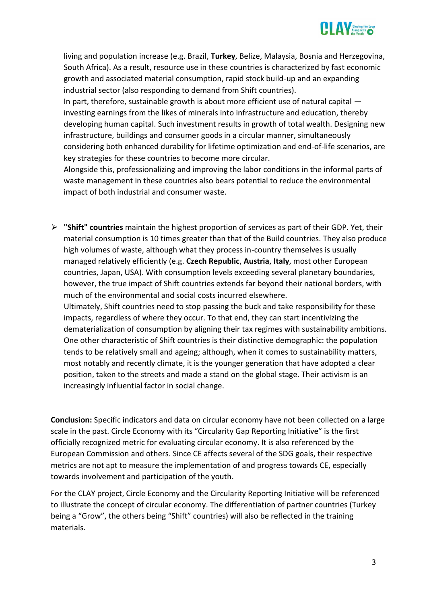

living and population increase (e.g. Brazil, **Turkey**, Belize, Malaysia, Bosnia and Herzegovina, South Africa). As a result, resource use in these countries is characterized by fast economic growth and associated material consumption, rapid stock build-up and an expanding industrial sector (also responding to demand from Shift countries).

In part, therefore, sustainable growth is about more efficient use of natural capital investing earnings from the likes of minerals into infrastructure and education, thereby developing human capital. Such investment results in growth of total wealth. Designing new infrastructure, buildings and consumer goods in a circular manner, simultaneously considering both enhanced durability for lifetime optimization and end-of-life scenarios, are key strategies for these countries to become more circular.

Alongside this, professionalizing and improving the labor conditions in the informal parts of waste management in these countries also bears potential to reduce the environmental impact of both industrial and consumer waste.

⮚ **"Shift" countries** maintain the highest proportion of services as part of their GDP. Yet, their material consumption is 10 times greater than that of the Build countries. They also produce high volumes of waste, although what they process in-country themselves is usually managed relatively efficiently (e.g. **Czech Republic**, **Austria**, **Italy**, most other European countries, Japan, USA). With consumption levels exceeding several planetary boundaries, however, the true impact of Shift countries extends far beyond their national borders, with much of the environmental and social costs incurred elsewhere. Ultimately, Shift countries need to stop passing the buck and take responsibility for these

impacts, regardless of where they occur. To that end, they can start incentivizing the dematerialization of consumption by aligning their tax regimes with sustainability ambitions. One other characteristic of Shift countries is their distinctive demographic: the population tends to be relatively small and ageing; although, when it comes to sustainability matters, most notably and recently climate, it is the younger generation that have adopted a clear position, taken to the streets and made a stand on the global stage. Their activism is an increasingly influential factor in social change.

**Conclusion:** Specific indicators and data on circular economy have not been collected on a large scale in the past. Circle Economy with its "Circularity Gap Reporting Initiative" is the first officially recognized metric for evaluating circular economy. It is also referenced by the European Commission and others. Since CE affects several of the SDG goals, their respective metrics are not apt to measure the implementation of and progress towards CE, especially towards involvement and participation of the youth.

For the CLAY project, Circle Economy and the Circularity Reporting Initiative will be referenced to illustrate the concept of circular economy. The differentiation of partner countries (Turkey being a "Grow", the others being "Shift" countries) will also be reflected in the training materials.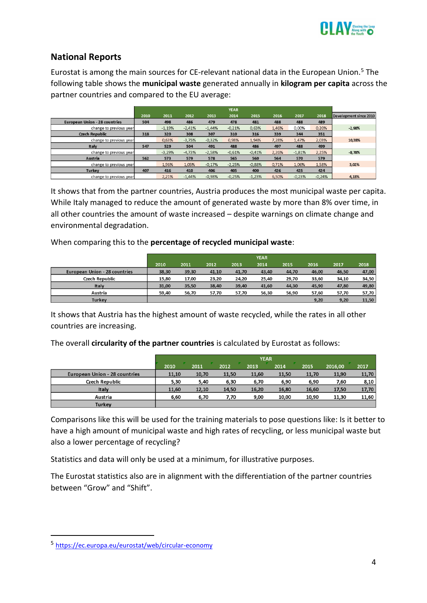

# <span id="page-5-0"></span>**National Reports**

Eurostat is among the main sources for CE-relevant national data in the European Union.<sup>5</sup> The following table shows the **municipal waste** generated annually in **kilogram per capita** across the partner countries and compared to the EU average:

|                                      |      |          |          |          | <b>YEAR</b> |          |       |          |       |                        |
|--------------------------------------|------|----------|----------|----------|-------------|----------|-------|----------|-------|------------------------|
|                                      | 2010 | 2011     | 2012     | 2013     | 2014        | 2015     | 2016  | 2017     | 2018  | Development since 2010 |
| <b>European Union - 28 countries</b> | 504  | 498      | 486      | 479      | 478         | 481      | 488   | 488      | 489   |                        |
| change to previous year              |      | $-1,19%$ | $-2,41%$ | $-1.44%$ | $-0.21%$    | 0,63%    | 1,46% | 0,00%    | 0,20% | $-2,98%$               |
| <b>Czech Republic</b>                | 318  | 320      | 308      | 307      | 310         | 316      | 339   | 344      | 351   |                        |
| change to previous year              |      | 0.63%    | $-3,75%$ | $-0,32%$ | 0,98%       | 1,94%    | 7,28% | 1,47%    | 2,03% | 10,38%                 |
| Italy                                | 547  | 529      | 504      | 491      | 488         | 486      | 497   | 488      | 499   |                        |
| change to previous year              |      | $-3,29%$ | $-4,73%$ | $-2,58%$ | $-0.61%$    | $-0.41%$ | 2,26% | $-1.81%$ | 2,25% | $-8,78%$               |
| Austria                              | 562  | 573      | 579      | 578      | 565         | 560      | 564   | 570      | 579   |                        |
| change to previous year              |      | 1.96%    | 1.05%    | $-0.17%$ | $-2.25%$    | $-0.88%$ | 0.71% | 1.06%    | 1.58% | 3,02%                  |
|                                      |      |          |          |          |             |          |       |          |       |                        |
| <b>Turkey</b>                        | 407  | 416      | 410      | 406      | 405         | 400      | 426   | 425      | 424   |                        |

It shows that from the partner countries, Austria produces the most municipal waste per capita. While Italy managed to reduce the amount of generated waste by more than 8% over time, in all other countries the amount of waste increased – despite warnings on climate change and environmental degradation.

When comparing this to the **percentage of recycled municipal waste**:

|                               |       |       |       |       | <b>YEAR</b> |       |       |       |       |
|-------------------------------|-------|-------|-------|-------|-------------|-------|-------|-------|-------|
|                               | 2010  | 2011  | 2012  | 2013  | 2014        | 2015  | 2016  | 2017  | 2018  |
| European Union - 28 countries | 38,30 | 39,30 | 41,10 | 41,70 | 43,40       | 44,70 | 46,00 | 46,50 | 47,00 |
| Czech Republic                | 15,80 | 17,00 | 23,20 | 24,20 | 25,40       | 29,70 | 33,60 | 34,10 | 34,50 |
| Italy                         | 31,00 | 35,50 | 38,40 | 39,40 | 41,60       | 44,30 | 45,90 | 47,80 | 49,80 |
| Austria                       | 59,40 | 56.70 | 57.70 | 57.70 | 56,30       | 56,90 | 57,60 | 57,70 | 57,70 |
| Turkey                        |       |       |       |       |             |       | 9,20  | 9,20  | 11.50 |

It shows that Austria has the highest amount of waste recycled, while the rates in all other countries are increasing.

The overall **circularity of the partner countries** is calculated by Eurostat as follows:

|                               |       | <b>YEAR</b> |       |       |       |       |         |       |
|-------------------------------|-------|-------------|-------|-------|-------|-------|---------|-------|
|                               | 2010  | 2011        | 2012  | 2013  | 2014  | 2015  | 2016,00 | 2017  |
| European Union - 28 countries | 11,10 | 10,70       | 11,50 | 11,60 | 11,50 | 11,70 | 11,90   | 11,70 |
| <b>Czech Republic</b>         | 5,30  | 5,40        | 6,30  | 6,70  | 6,90  | 6,90  | 7,60    | 8,10  |
| Italy                         | 11,60 | 12,10       | 14,50 | 16,20 | 16,80 | 16,60 | 17,50   | 17,70 |
| Austria                       | 6,60  | 6,70        | 7.70  | 9,00  | 10,00 | 10,90 | 11,30   | 11,60 |
| Turkey                        |       |             |       |       |       |       |         |       |

Comparisons like this will be used for the training materials to pose questions like: Is it better to have a high amount of municipal waste and high rates of recycling, or less municipal waste but also a lower percentage of recycling?

Statistics and data will only be used at a minimum, for illustrative purposes.

The Eurostat statistics also are in alignment with the differentiation of the partner countries between "Grow" and "Shift".

<sup>5</sup> <https://ec.europa.eu/eurostat/web/circular-economy>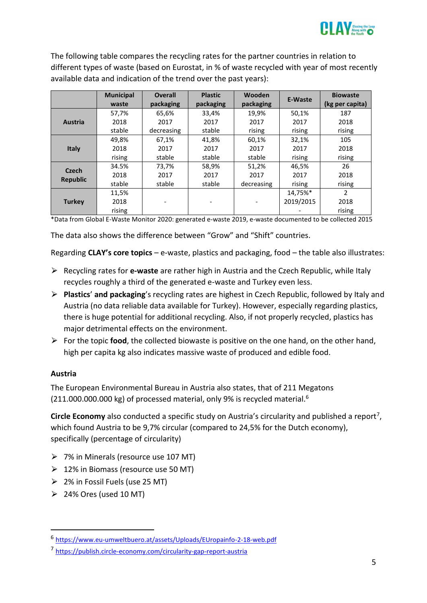

The following table compares the recycling rates for the partner countries in relation to different types of waste (based on Eurostat, in % of waste recycled with year of most recently available data and indication of the trend over the past years):

|                 | <b>Municipal</b><br>waste | <b>Overall</b><br>packaging | <b>Plastic</b><br>packaging | Wooden<br>packaging | <b>E-Waste</b> | <b>Biowaste</b><br>(kg per capita) |
|-----------------|---------------------------|-----------------------------|-----------------------------|---------------------|----------------|------------------------------------|
|                 | 57,7%                     | 65.6%                       | 33,4%                       | 19.9%               | 50,1%          | 187                                |
| <b>Austria</b>  | 2018                      | 2017                        | 2017                        | 2017                | 2017           | 2018                               |
|                 | stable                    | decreasing                  | stable                      | rising              | rising         | rising                             |
|                 | 49,8%                     | 67.1%                       | 41.8%                       | 60,1%               | 32,1%          | 105                                |
| <b>Italy</b>    | 2018                      | 2017                        | 2017                        | 2017                | 2017           | 2018                               |
|                 | rising                    | stable                      | stable                      | stable              | rising         | rising                             |
| <b>Czech</b>    | 34.5%                     | 73,7%                       | 58,9%                       | 51,2%               | 46,5%          | 26                                 |
| <b>Republic</b> | 2018                      | 2017                        | 2017                        | 2017                | 2017           | 2018                               |
|                 | stable                    | stable                      | stable                      | decreasing          | rising         | rising                             |
|                 | 11,5%                     |                             |                             |                     | 14,75%*        | $\mathcal{P}$                      |
| <b>Turkey</b>   | 2018                      |                             |                             |                     | 2019/2015      | 2018                               |
|                 | rising                    |                             |                             |                     |                | rising                             |

\*Data from Global E-Waste Monitor 2020: generated e-waste 2019, e-waste documented to be collected 2015

The data also shows the difference between "Grow" and "Shift" countries.

Regarding **CLAY's core topics** – e-waste, plastics and packaging, food – the table also illustrates:

- ⮚ Recycling rates for **e-waste** are rather high in Austria and the Czech Republic, while Italy recycles roughly a third of the generated e-waste and Turkey even less.
- ⮚ **Plastics**' **and packaging**'s recycling rates are highest in Czech Republic, followed by Italy and Austria (no data reliable data available for Turkey). However, especially regarding plastics, there is huge potential for additional recycling. Also, if not properly recycled, plastics has major detrimental effects on the environment.
- $\triangleright$  For the topic **food**, the collected biowaste is positive on the one hand, on the other hand, high per capita kg also indicates massive waste of produced and edible food.

#### **Austria**

The European Environmental Bureau in Austria also states, that of 211 Megatons (211.000.000.000 kg) of processed material, only 9% is recycled material.<sup>6</sup>

Circle Economy also conducted a specific study on Austria's circularity and published a report<sup>7</sup>, which found Austria to be 9,7% circular (compared to 24,5% for the Dutch economy), specifically (percentage of circularity)

- ⮚ 7% in Minerals (resource use 107 MT)
- $\geq 12\%$  in Biomass (resource use 50 MT)
- $\geq$  2% in Fossil Fuels (use 25 MT)
- $\geq$  24% Ores (used 10 MT)

<sup>6</sup> <https://www.eu-umweltbuero.at/assets/Uploads/EUropainfo-2-18-web.pdf>

<sup>7</sup> <https://publish.circle-economy.com/circularity-gap-report-austria>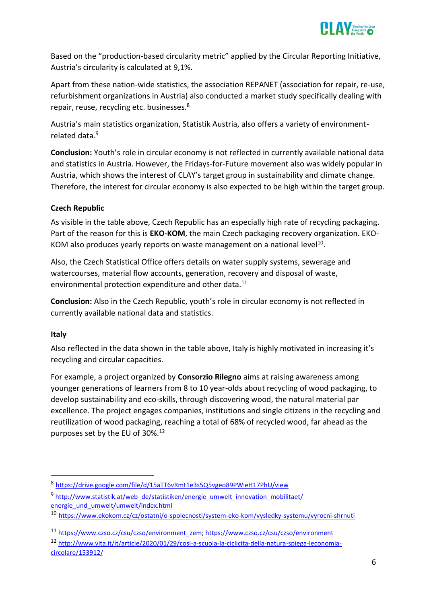

Based on the "production-based circularity metric" applied by the Circular Reporting Initiative, Austria's circularity is calculated at 9,1%.

Apart from these nation-wide statistics, the association REPANET (association for repair, re-use, refurbishment organizations in Austria) also conducted a market study specifically dealing with repair, reuse, recycling etc. businesses.<sup>8</sup>

Austria's main statistics organization, Statistik Austria, also offers a variety of environmentrelated data.<sup>9</sup>

**Conclusion:** Youth's role in circular economy is not reflected in currently available national data and statistics in Austria. However, the Fridays-for-Future movement also was widely popular in Austria, which shows the interest of CLAY's target group in sustainability and climate change. Therefore, the interest for circular economy is also expected to be high within the target group.

# **Czech Republic**

As visible in the table above, Czech Republic has an especially high rate of recycling packaging. Part of the reason for this is **EKO-KOM**, the main Czech packaging recovery organization. EKO-KOM also produces yearly reports on waste management on a national level<sup>10</sup>.

Also, the Czech Statistical Office offers details on water supply systems, sewerage and watercourses, material flow accounts, generation, recovery and disposal of waste, environmental protection expenditure and other data.<sup>11</sup>

**Conclusion:** Also in the Czech Republic, youth's role in circular economy is not reflected in currently available national data and statistics.

#### **Italy**

Also reflected in the data shown in the table above, Italy is highly motivated in increasing it's recycling and circular capacities.

For example, a project organized by **Consorzio Rilegno** aims at raising awareness among younger generations of learners from 8 to 10 year-olds about recycling of wood packaging, to develop sustainability and eco-skills, through discovering wood, the natural material par excellence. The project engages companies, institutions and single citizens in the recycling and reutilization of wood packaging, reaching a total of 68% of recycled wood, far ahead as the purposes set by the EU of 30%.<sup>12</sup>

<sup>8</sup> <https://drive.google.com/file/d/15aTT6vRmt1e3s5Q5vgeo89PWieH17PhU/view>

<sup>&</sup>lt;sup>9</sup> [http://www.statistik.at/web\\_de/statistiken/energie\\_umwelt\\_innovation\\_mobilitaet/](http://www.statistik.at/web_de/statistiken/energie_umwelt_innovation_mobilitaet/energie_und_umwelt/umwelt/index.html) energie und umwelt/umwelt/index.html

<sup>10</sup> <https://www.ekokom.cz/cz/ostatni/o-spolecnosti/system-eko-kom/vysledky-systemu/vyrocni-shrnuti>

<sup>11</sup> [https://www.czso.cz/csu/czso/environment\\_zem;](https://www.czso.cz/csu/czso/environment_zem)<https://www.czso.cz/csu/czso/environment>

<sup>12</sup> [http://www.vita.it/it/article/2020/01/29/cosi-a-scuola-la-ciclicita-della-natura-spiega-leconomia](http://www.vita.it/it/article/2020/01/29/cosi-a-scuola-la-ciclicita-della-natura-spiega-leconomia-circolare/153912/)[circolare/153912/](http://www.vita.it/it/article/2020/01/29/cosi-a-scuola-la-ciclicita-della-natura-spiega-leconomia-circolare/153912/)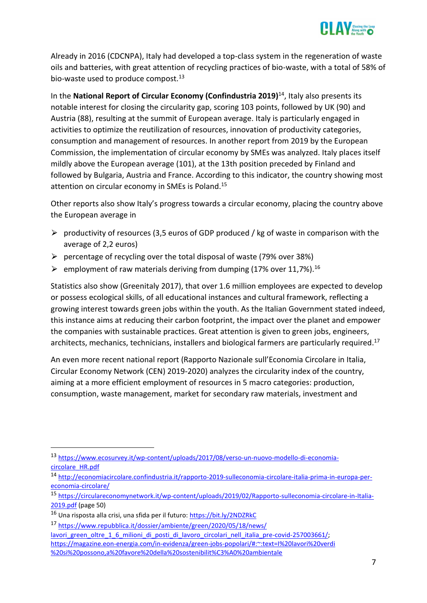

Already in 2016 (CDCNPA), Italy had developed a top-class system in the regeneration of waste oils and batteries, with great attention of recycling practices of bio-waste, with a total of 58% of bio-waste used to produce compost.<sup>13</sup>

In the **National Report of Circular Economy (Confindustria 2019)**<sup>14</sup>, Italy also presents its notable interest for closing the circularity gap, scoring 103 points, followed by UK (90) and Austria (88), resulting at the summit of European average. Italy is particularly engaged in activities to optimize the reutilization of resources, innovation of productivity categories, consumption and management of resources. In another report from 2019 by the European Commission, the implementation of circular economy by SMEs was analyzed. Italy places itself mildly above the European average (101), at the 13th position preceded by Finland and followed by Bulgaria, Austria and France. According to this indicator, the country showing most attention on circular economy in SMEs is Poland.<sup>15</sup>

Other reports also show Italy's progress towards a circular economy, placing the country above the European average in

- $\triangleright$  productivity of resources (3,5 euros of GDP produced / kg of waste in comparison with the average of 2,2 euros)
- $\triangleright$  percentage of recycling over the total disposal of waste (79% over 38%)
- $\triangleright$  employment of raw materials deriving from dumping (17% over 11,7%).<sup>16</sup>

Statistics also show (Greenitaly 2017), that over 1.6 million employees are expected to develop or possess ecological skills, of all educational instances and cultural framework, reflecting a growing interest towards green jobs within the youth. As the Italian Government stated indeed, this instance aims at reducing their carbon footprint, the impact over the planet and empower the companies with sustainable practices. Great attention is given to green jobs, engineers, architects, mechanics, technicians, installers and biological farmers are particularly required.<sup>17</sup>

An even more recent national report (Rapporto Nazionale sull'Economia Circolare in Italia, Circular Economy Network (CEN) 2019-2020) analyzes the circularity index of the country, aiming at a more efficient employment of resources in 5 macro categories: production, consumption, waste management, market for secondary raw materials, investment and

<sup>13</sup> [https://www.ecosurvey.it/wp-content/uploads/2017/08/verso-un-nuovo-modello-di-economia](https://www.ecosurvey.it/wp-content/uploads/2017/08/verso-un-nuovo-modello-di-economia-circolare_HR.pdf)[circolare\\_HR.pdf](https://www.ecosurvey.it/wp-content/uploads/2017/08/verso-un-nuovo-modello-di-economia-circolare_HR.pdf)

<sup>14</sup> [http://economiacircolare.confindustria.it/rapporto-2019-sulleconomia-circolare-italia-prima-in-europa-per](http://economiacircolare.confindustria.it/rapporto-2019-sulleconomia-circolare-italia-prima-in-europa-per-economia-circolare/)[economia-circolare/](http://economiacircolare.confindustria.it/rapporto-2019-sulleconomia-circolare-italia-prima-in-europa-per-economia-circolare/)

<sup>15</sup> [https://circulareconomynetwork.it/wp-content/uploads/2019/02/Rapporto-sulleconomia-circolare-in-Italia-](https://circulareconomynetwork.it/wp-content/uploads/2019/02/Rapporto-sulleconomia-circolare-in-Italia-2019.pdf)[2019.pdf](https://circulareconomynetwork.it/wp-content/uploads/2019/02/Rapporto-sulleconomia-circolare-in-Italia-2019.pdf) (page 50)

<sup>16</sup> Una risposta alla crisi, una sfida per il futuro[: https://bit.ly/2NDZRkC](https://bit.ly/2NDZRkC)

<sup>17</sup> [https://www.repubblica.it/dossier/ambiente/green/2020/05/18/news/](https://www.repubblica.it/dossier/ambiente/green/2020/05/18/news/lavori_green_oltre_1_6_milioni_di_posti_di_lavoro_circolari_nell_italia_pre-covid-257003661/) lavori green oltre 1 6 milioni di posti di lavoro circolari nell italia pre-covid-257003661/; [https://magazine.eon-energia.com/in-evidenza/green-jobs-popolari/#:~:text=I%20lavori%20verdi](https://magazine.eon-energia.com/in-evidenza/green-jobs-popolari/#:~:text=I%20lavori%20verdi%20si%20possono,a%20favore%20della%20sostenibilit%C3%A0%20ambientale) [%20si%20possono,a%20favore%20della%20sostenibilit%C3%A0%20ambientale](https://magazine.eon-energia.com/in-evidenza/green-jobs-popolari/#:~:text=I%20lavori%20verdi%20si%20possono,a%20favore%20della%20sostenibilit%C3%A0%20ambientale)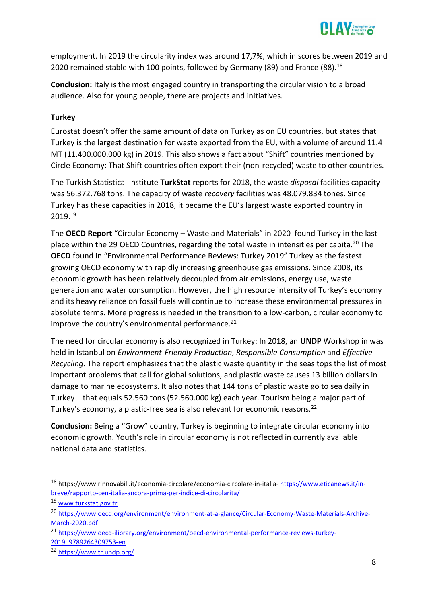

employment. In 2019 the circularity index was around 17,7%, which in scores between 2019 and 2020 remained stable with 100 points, followed by Germany (89) and France (88).<sup>18</sup>

**Conclusion:** Italy is the most engaged country in transporting the circular vision to a broad audience. Also for young people, there are projects and initiatives.

## **Turkey**

Eurostat doesn't offer the same amount of data on Turkey as on EU countries, but states that Turkey is the largest destination for waste exported from the EU, with a volume of around 11.4 MT (11.400.000.000 kg) in 2019. This also shows a fact about "Shift" countries mentioned by Circle Economy: That Shift countries often export their (non-recycled) waste to other countries.

The Turkish Statistical Institute **TurkStat** reports for 2018, the waste *disposal* facilities capacity was 56.372.768 tons. The capacity of waste *recovery* facilities was 48.079.834 tones. Since Turkey has these capacities in 2018, it became the EU's largest waste exported country in 2019.<sup>19</sup>

The **OECD Report** "Circular Economy – Waste and Materials" in 2020 found Turkey in the last place within the 29 OECD Countries, regarding the total waste in intensities per capita.<sup>20</sup> The **OECD** found in "Environmental Performance Reviews: Turkey 2019" Turkey as the fastest growing OECD economy with rapidly increasing greenhouse gas emissions. Since 2008, its economic growth has been relatively decoupled from air emissions, energy use, waste generation and water consumption. However, the high resource intensity of Turkey's economy and its heavy reliance on fossil fuels will continue to increase these environmental pressures in absolute terms. More progress is needed in the transition to a low-carbon, circular economy to improve the country's environmental performance. $21$ 

The need for circular economy is also recognized in Turkey: In 2018, an **UNDP** Workshop in was held in Istanbul on *Environment-Friendly Production*, *Responsible Consumption* and *Effective Recycling*. The report emphasizes that the plastic waste quantity in the seas tops the list of most important problems that call for global solutions, and plastic waste causes 13 billion dollars in damage to marine ecosystems. It also notes that 144 tons of plastic waste go to sea daily in Turkey – that equals 52.560 tons (52.560.000 kg) each year. Tourism being a major part of Turkey's economy, a plastic-free sea is also relevant for economic reasons.<sup>22</sup>

**Conclusion:** Being a "Grow" country, Turkey is beginning to integrate circular economy into economic growth. Youth's role in circular economy is not reflected in currently available national data and statistics.

<sup>18</sup> https://www.rinnovabili.it/economia-circolare/economia-circolare-in-italia- [https://www.eticanews.it/in](https://www.eticanews.it/in-breve/rapporto-cen-italia-ancora-prima-per-indice-di-circolarita/)[breve/rapporto-cen-italia-ancora-prima-per-indice-di-circolarita/](https://www.eticanews.it/in-breve/rapporto-cen-italia-ancora-prima-per-indice-di-circolarita/)

<sup>19</sup> [www.turkstat.gov.tr](http://www.turkstat.gov.tr/)

<sup>20</sup> [https://www.oecd.org/environment/environment-at-a-glance/Circular-Economy-Waste-Materials-Archive-](https://www.oecd.org/environment/environment-at-a-glance/Circular-Economy-Waste-Materials-Archive-March-2020.pdf)[March-2020.pdf](https://www.oecd.org/environment/environment-at-a-glance/Circular-Economy-Waste-Materials-Archive-March-2020.pdf)

<sup>21</sup> [https://www.oecd-ilibrary.org/environment/oecd-environmental-performance-reviews-turkey-](https://www.oecd-ilibrary.org/environment/oecd-environmental-performance-reviews-turkey-2019_9789264309753-en)[2019\\_9789264309753-en](https://www.oecd-ilibrary.org/environment/oecd-environmental-performance-reviews-turkey-2019_9789264309753-en)

<sup>22</sup> <https://www.tr.undp.org/>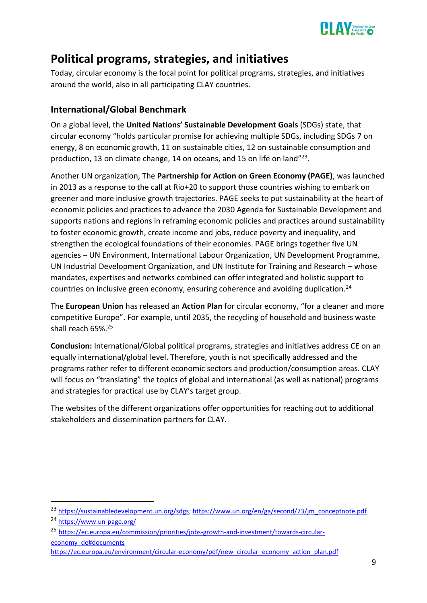

# <span id="page-10-0"></span>**Political programs, strategies, and initiatives**

Today, circular economy is the focal point for political programs, strategies, and initiatives around the world, also in all participating CLAY countries.

# <span id="page-10-1"></span>**International/Global Benchmark**

On a global level, the **United Nations' Sustainable Development Goals** (SDGs) state, that circular economy "holds particular promise for achieving multiple SDGs, including SDGs 7 on energy, 8 on economic growth, 11 on sustainable cities, 12 on sustainable consumption and production, 13 on climate change, 14 on oceans, and 15 on life on land"<sup>23</sup>.

Another UN organization, The **Partnership for Action on Green Economy (PAGE)**, was launched in 2013 as a response to the call at Rio+20 to support those countries wishing to embark on greener and more inclusive growth trajectories. PAGE seeks to put sustainability at the heart of economic policies and practices to advance the 2030 Agenda for Sustainable Development and supports nations and regions in reframing economic policies and practices around sustainability to foster economic growth, create income and jobs, reduce poverty and inequality, and strengthen the ecological foundations of their economies. PAGE brings together five UN agencies – UN Environment, International Labour Organization, UN Development Programme, UN Industrial Development Organization, and UN Institute for Training and Research – whose mandates, expertises and networks combined can offer integrated and holistic support to countries on inclusive green economy, ensuring coherence and avoiding duplication.<sup>24</sup>

The **European Union** has released an **Action Plan** for circular economy, "for a cleaner and more competitive Europe". For example, until 2035, the recycling of household and business waste shall reach 65%.<sup>25</sup>

**Conclusion:** International/Global political programs, strategies and initiatives address CE on an equally international/global level. Therefore, youth is not specifically addressed and the programs rather refer to different economic sectors and production/consumption areas. CLAY will focus on "translating" the topics of global and international (as well as national) programs and strategies for practical use by CLAY's target group.

The websites of the different organizations offer opportunities for reaching out to additional stakeholders and dissemination partners for CLAY.

<sup>&</sup>lt;sup>23</sup> [https://sustainabledevelopment.un.org/sdgs;](https://sustainabledevelopment.un.org/sdgs) [https://www.un.org/en/ga/second/73/jm\\_conceptnote.pdf](https://www.un.org/en/ga/second/73/jm_conceptnote.pdf) <sup>24</sup> <https://www.un-page.org/>

<sup>25</sup> [https://ec.europa.eu/commission/priorities/jobs-growth-and-investment/towards-circular](https://ec.europa.eu/commission/priorities/jobs-growth-and-investment/towards-circular-economy_de#documents)[economy\\_de#documents](https://ec.europa.eu/commission/priorities/jobs-growth-and-investment/towards-circular-economy_de#documents)

[https://ec.europa.eu/environment/circular-economy/pdf/new\\_circular\\_economy\\_action\\_plan.pdf](https://ec.europa.eu/environment/circular-economy/pdf/new_circular_economy_action_plan.pdf)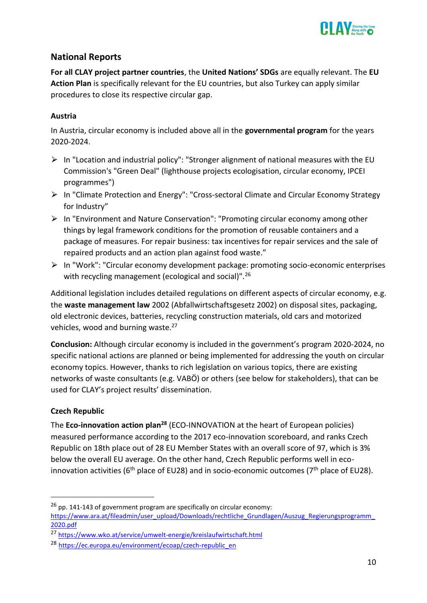

# <span id="page-11-0"></span>**National Reports**

**For all CLAY project partner countries**, the **United Nations' SDGs** are equally relevant. The **EU Action Plan** is specifically relevant for the EU countries, but also Turkey can apply similar procedures to close its respective circular gap.

## **Austria**

In Austria, circular economy is included above all in the **governmental program** for the years 2020-2024.

- $\triangleright$  In "Location and industrial policy": "Stronger alignment of national measures with the EU Commission's "Green Deal" (lighthouse projects ecologisation, circular economy, IPCEI programmes")
- ⮚ In "Climate Protection and Energy": "Cross-sectoral Climate and Circular Economy Strategy for Industry"
- ⮚ In "Environment and Nature Conservation": "Promoting circular economy among other things by legal framework conditions for the promotion of reusable containers and a package of measures. For repair business: tax incentives for repair services and the sale of repaired products and an action plan against food waste."
- ⮚ In "Work": "Circular economy development package: promoting socio-economic enterprises with recycling management (ecological and social)".<sup>26</sup>

Additional legislation includes detailed regulations on different aspects of circular economy, e.g. the **waste management law** 2002 (Abfallwirtschaftsgesetz 2002) on disposal sites, packaging, old electronic devices, batteries, recycling construction materials, old cars and motorized vehicles, wood and burning waste.<sup>27</sup>

**Conclusion:** Although circular economy is included in the government's program 2020-2024, no specific national actions are planned or being implemented for addressing the youth on circular economy topics. However, thanks to rich legislation on various topics, there are existing networks of waste consultants (e.g. VABÖ) or others (see below for stakeholders), that can be used for CLAY's project results' dissemination.

# **Czech Republic**

The **Eco-innovation action plan<sup>28</sup>** (ECO-INNOVATION at the heart of European policies) measured performance according to the 2017 eco-innovation scoreboard, and ranks Czech Republic on 18th place out of 28 EU Member States with an overall score of 97, which is 3% below the overall EU average. On the other hand, Czech Republic performs well in ecoinnovation activities ( $6<sup>th</sup>$  place of EU28) and in socio-economic outcomes ( $7<sup>th</sup>$  place of EU28).

 $26$  pp. 141-143 of government program are specifically on circular economy:

[https://www.ara.at/fileadmin/user\\_upload/Downloads/rechtliche\\_Grundlagen/Auszug\\_Regierungsprogramm\\_](https://www.ara.at/fileadmin/user_upload/Downloads/rechtliche_Grundlagen/Auszug_Regierungsprogramm_2020.pdf) [2020.pdf](https://www.ara.at/fileadmin/user_upload/Downloads/rechtliche_Grundlagen/Auszug_Regierungsprogramm_2020.pdf)

<sup>27</sup> <https://www.wko.at/service/umwelt-energie/kreislaufwirtschaft.html>

<sup>28</sup> [https://ec.europa.eu/environment/ecoap/czech-republic\\_en](https://ec.europa.eu/environment/ecoap/czech-republic_en)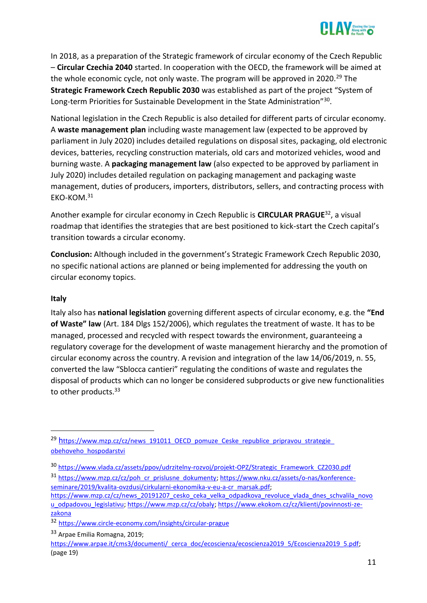

In 2018, as a preparation of the Strategic framework of circular economy of the Czech Republic – **Circular Czechia 2040** started. In cooperation with the OECD, the framework will be aimed at the whole economic cycle, not only waste. The program will be approved in 2020.<sup>29</sup> The **Strategic Framework Czech Republic 2030** was established as part of the project "System of Long-term Priorities for Sustainable Development in the State Administration"<sup>30</sup>.

National legislation in the Czech Republic is also detailed for different parts of circular economy. A **waste management plan** including waste management law (expected to be approved by parliament in July 2020) includes detailed regulations on disposal sites, packaging, old electronic devices, batteries, recycling construction materials, old cars and motorized vehicles, wood and burning waste. A **packaging management law** (also expected to be approved by parliament in July 2020) includes detailed regulation on packaging management and packaging waste management, duties of producers, importers, distributors, sellers, and contracting process with EKO-KOM.<sup>31</sup>

Another example for circular economy in Czech Republic is **CIRCULAR PRAGUE**<sup>32</sup>, a visual roadmap that identifies the strategies that are best positioned to kick-start the Czech capital's transition towards a circular economy.

**Conclusion:** Although included in the government's Strategic Framework Czech Republic 2030, no specific national actions are planned or being implemented for addressing the youth on circular economy topics.

#### **Italy**

Italy also has **national legislation** governing different aspects of circular economy, e.g. the **"End of Waste" law** (Art. 184 Dlgs 152/2006), which regulates the treatment of waste. It has to be managed, processed and recycled with respect towards the environment, guaranteeing a regulatory coverage for the development of waste management hierarchy and the promotion of circular economy across the country. A revision and integration of the law 14/06/2019, n. 55, converted the law "Sblocca cantieri" regulating the conditions of waste and regulates the disposal of products which can no longer be considered subproducts or give new functionalities to other products.<sup>33</sup>

31 [https://www.mzp.cz/cz/poh\\_cr\\_prislusne\\_dokumenty;](https://www.mzp.cz/cz/poh_cr_prislusne_dokumenty) [https://www.nku.cz/assets/o-nas/konference](https://www.nku.cz/assets/o-nas/konference-seminare/2019/kvalita-ovzdusi/cirkularni-ekonomika-v-eu-a-cr_marsak.pdf)[seminare/2019/kvalita-ovzdusi/cirkularni-ekonomika-v-eu-a-cr\\_marsak.pdf;](https://www.nku.cz/assets/o-nas/konference-seminare/2019/kvalita-ovzdusi/cirkularni-ekonomika-v-eu-a-cr_marsak.pdf)

<sup>&</sup>lt;sup>29</sup> [h](https://www.mzp.cz/cz/news_191011_OECD_pomuze_Ceske_republice_pripravou_strategie_obehoveho_hospodarstvi)ttps://www.mzp.cz/cz/news\_191011\_OECD\_pomuze\_Ceske\_republice\_pripravou\_strategie [obehoveho\\_hospodarstvi](https://www.mzp.cz/cz/news_191011_OECD_pomuze_Ceske_republice_pripravou_strategie_obehoveho_hospodarstvi)

<sup>30</sup> [https://www.vlada.cz/assets/ppov/udrzitelny-rozvoj/projekt-OPZ/Strategic\\_Framework\\_CZ2030.pdf](https://www.vlada.cz/assets/ppov/udrzitelny-rozvoj/projekt-OPZ/Strategic_Framework_CZ2030.pdf)

[https://www.mzp.cz/cz/news\\_20191207\\_cesko\\_ceka\\_velka\\_odpadkova\\_revoluce\\_vlada\\_dnes\\_schvalila\\_novo](https://www.mzp.cz/cz/news_20191207_cesko_ceka_velka_odpadkova_revoluce_vlada_dnes_schvalila_novou_odpadovou_legislativu) [u\\_odpadovou\\_legislativu;](https://www.mzp.cz/cz/news_20191207_cesko_ceka_velka_odpadkova_revoluce_vlada_dnes_schvalila_novou_odpadovou_legislativu) [https://www.mzp.cz/cz/obaly;](https://www.mzp.cz/cz/obaly) [https://www.ekokom.cz/cz/klienti/povinnosti-ze](https://www.ekokom.cz/cz/klienti/povinnosti-ze-zakona)[zakona](https://www.ekokom.cz/cz/klienti/povinnosti-ze-zakona)

<sup>32</sup> <https://www.circle-economy.com/insights/circular-prague>

<sup>33</sup> Arpae Emilia Romagna, 2019;

[https://www.arpae.it/cms3/documenti/\\_cerca\\_doc/ecoscienza/ecoscienza2019\\_5/Ecoscienza2019\\_5.pdf;](https://www.arpae.it/cms3/documenti/_cerca_doc/ecoscienza/ecoscienza2019_5/Ecoscienza2019_5.pdf) (page 19)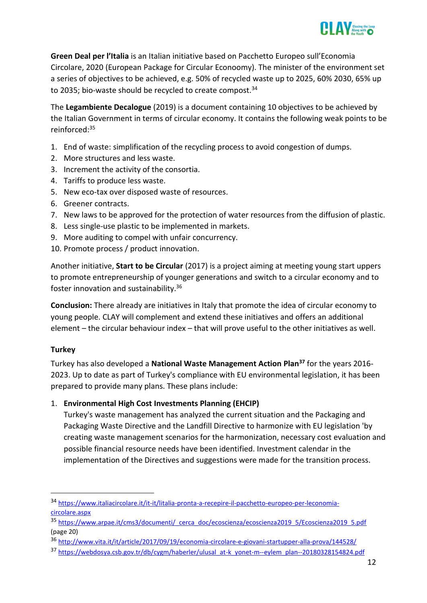

**Green Deal per l'Italia** is an Italian initiative based on Pacchetto Europeo sull'Economia Circolare, 2020 (European Package for Circular Econoomy). The minister of the environment set a series of objectives to be achieved, e.g. 50% of recycled waste up to 2025, 60% 2030, 65% up to 2035; bio-waste should be recycled to create compost.<sup>34</sup>

The **Legambiente Decalogue** (2019) is a document containing 10 objectives to be achieved by the Italian Government in terms of circular economy. It contains the following weak points to be reinforced:<sup>35</sup>

- 1. End of waste: simplification of the recycling process to avoid congestion of dumps.
- 2. More structures and less waste.
- 3. Increment the activity of the consortia.
- 4. Tariffs to produce less waste.
- 5. New eco-tax over disposed waste of resources.
- 6. Greener contracts.
- 7. New laws to be approved for the protection of water resources from the diffusion of plastic.
- 8. Less single-use plastic to be implemented in markets.
- 9. More auditing to compel with unfair concurrency.
- 10. Promote process / product innovation.

Another initiative, **Start to be Circular** (2017) is a project aiming at meeting young start uppers to promote entrepreneurship of younger generations and switch to a circular economy and to foster innovation and sustainability.<sup>36</sup>

**Conclusion:** There already are initiatives in Italy that promote the idea of circular economy to young people. CLAY will complement and extend these initiatives and offers an additional element – the circular behaviour index – that will prove useful to the other initiatives as well.

#### **Turkey**

Turkey has also developed a **National Waste Management Action Plan<sup>37</sup>** for the years 2016- 2023. Up to date as part of Turkey's compliance with EU environmental legislation, it has been prepared to provide many plans. These plans include:

# 1. **Environmental High Cost Investments Planning (EHCIP)**

Turkey's waste management has analyzed the current situation and the Packaging and Packaging Waste Directive and the Landfill Directive to harmonize with EU legislation 'by creating waste management scenarios for the harmonization, necessary cost evaluation and possible financial resource needs have been identified. Investment calendar in the implementation of the Directives and suggestions were made for the transition process.

<sup>34</sup> [https://www.italiacircolare.it/it-it/litalia-pronta-a-recepire-il-pacchetto-europeo-per-leconomia](https://www.italiacircolare.it/it-it/litalia-pronta-a-recepire-il-pacchetto-europeo-per-leconomia-circolare.aspx)[circolare.aspx](https://www.italiacircolare.it/it-it/litalia-pronta-a-recepire-il-pacchetto-europeo-per-leconomia-circolare.aspx)

<sup>35</sup> [https://www.arpae.it/cms3/documenti/\\_cerca\\_doc/ecoscienza/ecoscienza2019\\_5/Ecoscienza2019\\_5.pdf](https://www.arpae.it/cms3/documenti/_cerca_doc/ecoscienza/ecoscienza2019_5/Ecoscienza2019_5.pdf) (page 20)

<sup>36</sup> <http://www.vita.it/it/article/2017/09/19/economia-circolare-e-giovani-startupper-alla-prova/144528/>

<sup>37</sup> [https://webdosya.csb.gov.tr/db/cygm/haberler/ulusal\\_at-k\\_yonet-m--eylem\\_plan--20180328154824.pdf](https://webdosya.csb.gov.tr/db/cygm/haberler/ulusal_at-k_yonet-m--eylem_plan--20180328154824.pdf)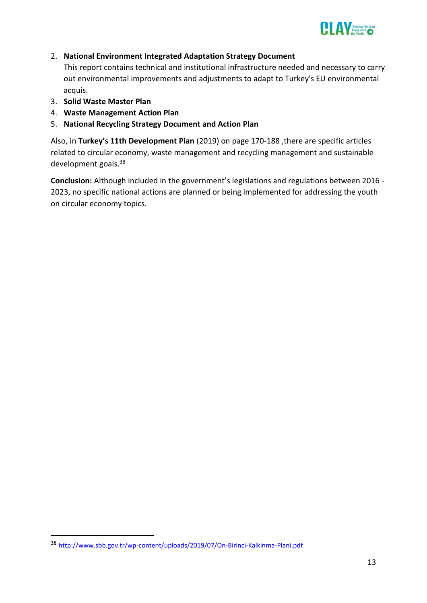

## 2. **National Environment Integrated Adaptation Strategy Document**

This report contains technical and institutional infrastructure needed and necessary to carry out environmental improvements and adjustments to adapt to Turkey's EU environmental acquis.

- 3. **Solid Waste Master Plan**
- 4. **Waste Management Action Plan**
- 5. **National Recycling Strategy Document and Action Plan**

Also, in **Turkey's 11th Development Plan** (2019) on page 170-188 ,there are specific articles related to circular economy, waste management and recycling management and sustainable development goals.<sup>38</sup>

**Conclusion:** Although included in the government's legislations and regulations between 2016 - 2023, no specific national actions are planned or being implemented for addressing the youth on circular economy topics.

<sup>38</sup> <http://www.sbb.gov.tr/wp-content/uploads/2019/07/On-Birinci-Kalkinma-Plani.pdf>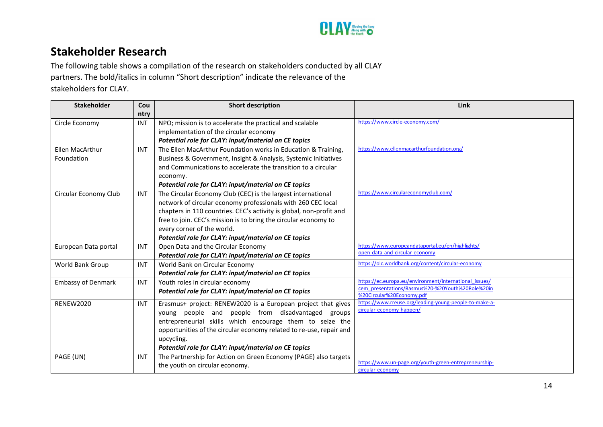

# **Stakeholder Research**

The following table shows a compilation of the research on stakeholders conducted by all CLAY partners. The bold/italics in column "Short description" indicate the relevance of the stakeholders for CLAY.

<span id="page-15-0"></span>

| <b>Stakeholder</b>        | Cou        | <b>Short description</b>                                            | Link                                                                          |
|---------------------------|------------|---------------------------------------------------------------------|-------------------------------------------------------------------------------|
|                           | ntry       |                                                                     |                                                                               |
| Circle Economy            | <b>INT</b> | NPO; mission is to accelerate the practical and scalable            | https://www.circle-economy.com/                                               |
|                           |            | implementation of the circular economy                              |                                                                               |
|                           |            | Potential role for CLAY: input/material on CE topics                |                                                                               |
| Ellen MacArthur           | <b>INT</b> | The Ellen MacArthur Foundation works in Education & Training,       | https://www.ellenmacarthurfoundation.org/                                     |
| Foundation                |            | Business & Government, Insight & Analysis, Systemic Initiatives     |                                                                               |
|                           |            | and Communications to accelerate the transition to a circular       |                                                                               |
|                           |            | economy.                                                            |                                                                               |
|                           |            | Potential role for CLAY: input/material on CE topics                |                                                                               |
| Circular Economy Club     | <b>INT</b> | The Circular Economy Club (CEC) is the largest international        | https://www.circulareconomyclub.com/                                          |
|                           |            | network of circular economy professionals with 260 CEC local        |                                                                               |
|                           |            | chapters in 110 countries. CEC's activity is global, non-profit and |                                                                               |
|                           |            | free to join. CEC's mission is to bring the circular economy to     |                                                                               |
|                           |            | every corner of the world.                                          |                                                                               |
|                           |            | Potential role for CLAY: input/material on CE topics                |                                                                               |
| European Data portal      | <b>INT</b> | Open Data and the Circular Economy                                  | https://www.europeandataportal.eu/en/highlights/                              |
|                           |            | Potential role for CLAY: input/material on CE topics                | open-data-and-circular-economy                                                |
| World Bank Group          | INT        | World Bank on Circular Economy                                      | https://olc.worldbank.org/content/circular-economy                            |
|                           |            | Potential role for CLAY: input/material on CE topics                |                                                                               |
| <b>Embassy of Denmark</b> | <b>INT</b> | Youth roles in circular economy                                     | https://ec.europa.eu/environment/international issues/                        |
|                           |            | Potential role for CLAY: input/material on CE topics                | cem presentations/Rasmus%20-%20Youth%20Role%20in<br>%20Circular%20Economy.pdf |
| <b>RENEW2020</b>          | <b>INT</b> | Erasmus+ project: RENEW2020 is a European project that gives        | https://www.rreuse.org/leading-young-people-to-make-a-                        |
|                           |            | young people and people from disadvantaged groups                   | circular-economy-happen/                                                      |
|                           |            | entrepreneurial skills which encourage them to seize the            |                                                                               |
|                           |            | opportunities of the circular economy related to re-use, repair and |                                                                               |
|                           |            | upcycling.                                                          |                                                                               |
|                           |            | Potential role for CLAY: input/material on CE topics                |                                                                               |
| PAGE (UN)                 | <b>INT</b> | The Partnership for Action on Green Economy (PAGE) also targets     |                                                                               |
|                           |            | the youth on circular economy.                                      | https://www.un-page.org/youth-green-entrepreneurship-                         |
|                           |            |                                                                     | circular-economy                                                              |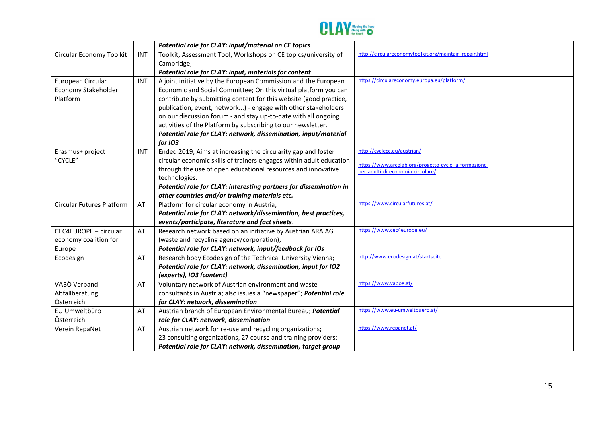

|                                  |            | Potential role for CLAY: input/material on CE topics                |                                                        |
|----------------------------------|------------|---------------------------------------------------------------------|--------------------------------------------------------|
| Circular Economy Toolkit         | INT        | Toolkit, Assessment Tool, Workshops on CE topics/university of      | http://circulareconomytoolkit.org/maintain-repair.html |
|                                  |            | Cambridge;                                                          |                                                        |
|                                  |            | Potential role for CLAY: input, materials for content               |                                                        |
| European Circular                | <b>INT</b> | A joint initiative by the European Commission and the European      | https://circulareconomy.europa.eu/platform/            |
| Economy Stakeholder              |            | Economic and Social Committee; On this virtual platform you can     |                                                        |
| Platform                         |            | contribute by submitting content for this website (good practice,   |                                                        |
|                                  |            | publication, event, network) - engage with other stakeholders       |                                                        |
|                                  |            | on our discussion forum - and stay up-to-date with all ongoing      |                                                        |
|                                  |            | activities of the Platform by subscribing to our newsletter.        |                                                        |
|                                  |            | Potential role for CLAY: network, dissemination, input/material     |                                                        |
|                                  |            | for <i>IO3</i>                                                      |                                                        |
| Erasmus+ project                 | <b>INT</b> | Ended 2019; Aims at increasing the circularity gap and foster       | http://cyclecc.eu/austrian/                            |
| "CYCLE"                          |            | circular economic skills of trainers engages within adult education | https://www.arcolab.org/progetto-cycle-la-formazione-  |
|                                  |            | through the use of open educational resources and innovative        | per-adulti-di-economia-circolare/                      |
|                                  |            | technologies.                                                       |                                                        |
|                                  |            | Potential role for CLAY: interesting partners for dissemination in  |                                                        |
|                                  |            | other countries and/or training materials etc.                      |                                                        |
| <b>Circular Futures Platform</b> | AT         | Platform for circular economy in Austria;                           | https://www.circularfutures.at/                        |
|                                  |            | Potential role for CLAY: network/dissemination, best practices,     |                                                        |
|                                  |            | events/participate, literature and fact sheets.                     |                                                        |
| CEC4EUROPE - circular            | AT         | Research network based on an initiative by Austrian ARA AG          | https://www.cec4europe.eu/                             |
| economy coalition for            |            | (waste and recycling agency/corporation);                           |                                                        |
| Europe                           |            | Potential role for CLAY: network, input/feedback for IOs            |                                                        |
| Ecodesign                        | AT         | Research body Ecodesign of the Technical University Vienna;         | http://www.ecodesign.at/startseite                     |
|                                  |            | Potential role for CLAY: network, dissemination, input for IO2      |                                                        |
|                                  |            | (experts), IO3 (content)                                            |                                                        |
| VABÖ Verband                     | AT         | Voluntary network of Austrian environment and waste                 | https://www.vaboe.at/                                  |
| Abfallberatung                   |            | consultants in Austria; also issues a "newspaper"; Potential role   |                                                        |
| Österreich                       |            | for CLAY: network, dissemination                                    |                                                        |
| EU Umweltbüro                    | AT         | Austrian branch of European Environmental Bureau; Potential         | https://www.eu-umweltbuero.at/                         |
| Österreich                       |            | role for CLAY: network, dissemination                               |                                                        |
| Verein RepaNet                   | AT         | Austrian network for re-use and recycling organizations;            | https://www.repanet.at/                                |
|                                  |            | 23 consulting organizations, 27 course and training providers;      |                                                        |
|                                  |            | Potential role for CLAY: network, dissemination, target group       |                                                        |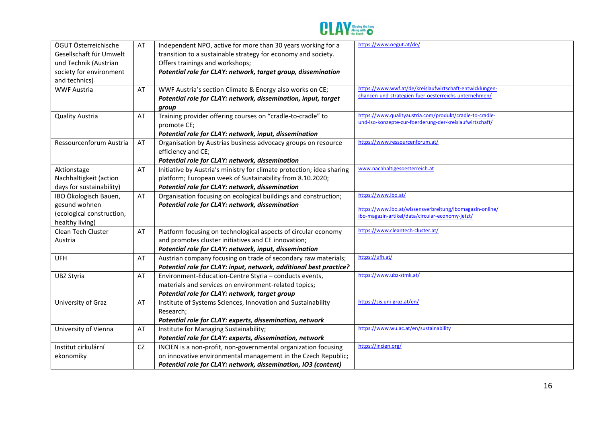

| ÖGUT Österreichische      |    |                                                                       | https://www.oegut.at/de/                                 |
|---------------------------|----|-----------------------------------------------------------------------|----------------------------------------------------------|
|                           | AT | Independent NPO, active for more than 30 years working for a          |                                                          |
| Gesellschaft für Umwelt   |    | transition to a sustainable strategy for economy and society.         |                                                          |
| und Technik (Austrian     |    | Offers trainings and workshops;                                       |                                                          |
| society for environment   |    | Potential role for CLAY: network, target group, dissemination         |                                                          |
| and technics)             |    |                                                                       |                                                          |
| <b>WWF Austria</b>        | AT | WWF Austria's section Climate & Energy also works on CE;              | https://www.wwf.at/de/kreislaufwirtschaft-entwicklungen- |
|                           |    | Potential role for CLAY: network, dissemination, input, target        | chancen-und-strategien-fuer-oesterreichs-unternehmen/    |
|                           |    | group                                                                 |                                                          |
| <b>Quality Austria</b>    | AT | Training provider offering courses on "cradle-to-cradle" to           | https://www.qualityaustria.com/produkt/cradle-to-cradle- |
|                           |    | promote CE;                                                           | und-iso-konzepte-zur-foerderung-der-kreislaufwirtschaft/ |
|                           |    | Potential role for CLAY: network, input, dissemination                |                                                          |
| Ressourcenforum Austria   | AT | Organisation by Austrias business advocacy groups on resource         | https://www.ressourcenforum.at/                          |
|                           |    | efficiency and CE;                                                    |                                                          |
|                           |    | Potential role for CLAY: network, dissemination                       |                                                          |
|                           | AT | Initiative by Austria's ministry for climate protection; idea sharing | www.nachhaltigesoesterreich.at                           |
| Aktionstage               |    |                                                                       |                                                          |
| Nachhaltigkeit (action    |    | platform; European week of Sustainability from 8.10.2020;             |                                                          |
| days for sustainability)  |    | Potential role for CLAY: network, dissemination                       |                                                          |
| IBO Ökologisch Bauen,     | AT | Organisation focusing on ecological buildings and construction;       | https://www.ibo.at/                                      |
| gesund wohnen             |    | Potential role for CLAY: network, dissemination                       | https://www.ibo.at/wissensverbreitung/ibomagazin-online/ |
| (ecological construction, |    |                                                                       | ibo-magazin-artikel/data/circular-economy-jetzt/         |
| healthy living)           |    |                                                                       |                                                          |
| Clean Tech Cluster        | AT | Platform focusing on technological aspects of circular economy        | https://www.cleantech-cluster.at/                        |
| Austria                   |    | and promotes cluster initiatives and CE innovation;                   |                                                          |
|                           |    | Potential role for CLAY: network, input, dissemination                |                                                          |
| <b>UFH</b>                | AT | Austrian company focusing on trade of secondary raw materials;        | https://ufh.at/                                          |
|                           |    | Potential role for CLAY: input, network, additional best practice?    |                                                          |
| <b>UBZ Styria</b>         | AT | Environment-Education-Centre Styria - conducts events,                | https://www.ubz-stmk.at/                                 |
|                           |    | materials and services on environment-related topics;                 |                                                          |
|                           |    | Potential role for CLAY: network, target group                        |                                                          |
| University of Graz        | AT | Institute of Systems Sciences, Innovation and Sustainability          | https://sis.uni-graz.at/en/                              |
|                           |    | Research;                                                             |                                                          |
|                           |    | Potential role for CLAY: experts, dissemination, network              |                                                          |
| University of Vienna      | AT | Institute for Managing Sustainability;                                | https://www.wu.ac.at/en/sustainability                   |
|                           |    | Potential role for CLAY: experts, dissemination, network              |                                                          |
| Institut cirkulární       | CZ | INCIEN is a non-profit, non-governmental organization focusing        | https://incien.org/                                      |
|                           |    | on innovative environmental management in the Czech Republic;         |                                                          |
| ekonomiky                 |    |                                                                       |                                                          |
|                           |    | Potential role for CLAY: network, dissemination, IO3 (content)        |                                                          |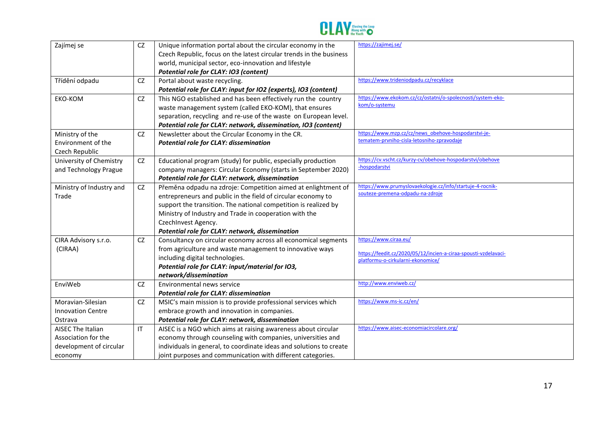

| Zajímej se                                                                            | CZ                     | Unique information portal about the circular economy in the<br>Czech Republic, focus on the latest circular trends in the business<br>world, municipal sector, eco-innovation and lifestyle<br>Potential role for CLAY: IO3 (content)                                                                                                | https://zajimej.se/                                                                                                           |
|---------------------------------------------------------------------------------------|------------------------|--------------------------------------------------------------------------------------------------------------------------------------------------------------------------------------------------------------------------------------------------------------------------------------------------------------------------------------|-------------------------------------------------------------------------------------------------------------------------------|
| Třídění odpadu                                                                        | CZ                     | Portal about waste recycling.<br>Potential role for CLAY: input for IO2 (experts), IO3 (content)                                                                                                                                                                                                                                     | https://www.trideniodpadu.cz/recyklace                                                                                        |
| EKO-KOM                                                                               | CZ                     | This NGO established and has been effectively run the country<br>waste management system (called EKO-KOM), that ensures<br>separation, recycling and re-use of the waste on European level.<br>Potential role for CLAY: network, dissemination, IO3 (content)                                                                        | https://www.ekokom.cz/cz/ostatni/o-spolecnosti/system-eko-<br>kom/o-systemu                                                   |
| Ministry of the<br>Environment of the<br>Czech Republic                               | CZ                     | Newsletter about the Circular Economy in the CR.<br>Potential role for CLAY: dissemination                                                                                                                                                                                                                                           | https://www.mzp.cz/cz/news_obehove-hospodarstvi-je-<br>tematem-prvniho-cisla-letosniho-zpravodaje                             |
| University of Chemistry<br>and Technology Prague                                      | CZ                     | Educational program (study) for public, especially production<br>company managers: Circular Economy (starts in September 2020)<br>Potential role for CLAY: network, dissemination                                                                                                                                                    | https://cv.vscht.cz/kurzy-cv/obehove-hospodarstvi/obehove<br>-hospodarstvi                                                    |
| Ministry of Industry and<br>Trade                                                     | <b>CZ</b>              | Přeměna odpadu na zdroje: Competition aimed at enlightment of<br>entrepreneurs and public in the field of circular economy to<br>support the transition. The national competition is realized by<br>Ministry of Industry and Trade in cooperation with the<br>CzechInvest Agency.<br>Potential role for CLAY: network, dissemination | https://www.prumyslovaekologie.cz/info/startuje-4-rocnik-<br>souteze-premena-odpadu-na-zdroje                                 |
| CIRA Advisory s.r.o.<br>(CIRAA)                                                       | CZ                     | Consultancy on circular economy across all economical segments<br>from agriculture and waste management to innovative ways<br>including digital technologies.<br>Potential role for CLAY: input/material for IO3,<br>network/dissemination                                                                                           | https://www.ciraa.eu/<br>https://feedit.cz/2020/05/12/incien-a-ciraa-spousti-vzdelavaci-<br>platformu-o-cirkularni-ekonomice/ |
| EnviWeb                                                                               | <b>CZ</b>              | Environmental news service<br><b>Potential role for CLAY: dissemination</b>                                                                                                                                                                                                                                                          | http://www.enviweb.cz/                                                                                                        |
| Moravian-Silesian<br><b>Innovation Centre</b><br>Ostrava                              | <b>CZ</b>              | MSIC's main mission is to provide professional services which<br>embrace growth and innovation in companies.<br>Potential role for CLAY: network, dissemination                                                                                                                                                                      | https://www.ms-ic.cz/en/                                                                                                      |
| <b>AISEC The Italian</b><br>Association for the<br>development of circular<br>economy | $\mathsf{I}\mathsf{T}$ | AISEC is a NGO which aims at raising awareness about circular<br>economy through counseling with companies, universities and<br>individuals in general, to coordinate ideas and solutions to create<br>joint purposes and communication with different categories.                                                                   | https://www.aisec-economiacircolare.org/                                                                                      |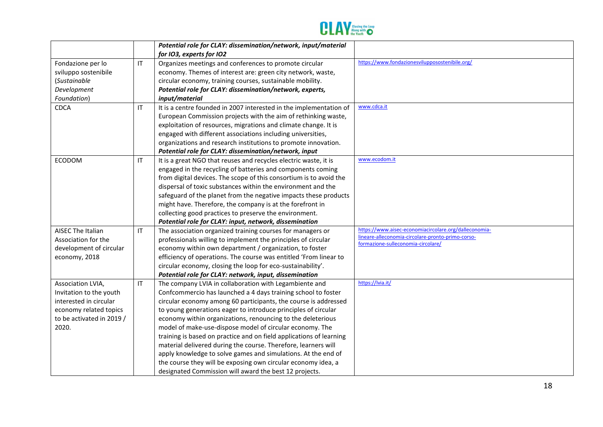

|                           |                        | Potential role for CLAY: dissemination/network, input/material      |                                                                                         |
|---------------------------|------------------------|---------------------------------------------------------------------|-----------------------------------------------------------------------------------------|
|                           |                        | for IO3, experts for IO2                                            |                                                                                         |
| Fondazione per lo         | $\mathsf{I}\mathsf{T}$ | Organizes meetings and conferences to promote circular              | https://www.fondazionesvilupposostenibile.org/                                          |
| sviluppo sostenibile      |                        | economy. Themes of interest are: green city network, waste,         |                                                                                         |
| (Sustainable              |                        | circular economy, training courses, sustainable mobility.           |                                                                                         |
| Development               |                        | Potential role for CLAY: dissemination/network, experts,            |                                                                                         |
| Foundation)               |                        | input/material                                                      |                                                                                         |
| <b>CDCA</b>               | IT                     | It is a centre founded in 2007 interested in the implementation of  | www.cdca.it                                                                             |
|                           |                        | European Commission projects with the aim of rethinking waste,      |                                                                                         |
|                           |                        | exploitation of resources, migrations and climate change. It is     |                                                                                         |
|                           |                        | engaged with different associations including universities,         |                                                                                         |
|                           |                        | organizations and research institutions to promote innovation.      |                                                                                         |
|                           |                        | Potential role for CLAY: dissemination/network, input               |                                                                                         |
| <b>ECODOM</b>             | $\mathsf{I}\mathsf{T}$ | It is a great NGO that reuses and recycles electric waste, it is    | www.ecodom.it                                                                           |
|                           |                        | engaged in the recycling of batteries and components coming         |                                                                                         |
|                           |                        | from digital devices. The scope of this consortium is to avoid the  |                                                                                         |
|                           |                        | dispersal of toxic substances within the environment and the        |                                                                                         |
|                           |                        | safeguard of the planet from the negative impacts these products    |                                                                                         |
|                           |                        | might have. Therefore, the company is at the forefront in           |                                                                                         |
|                           |                        | collecting good practices to preserve the environment.              |                                                                                         |
|                           |                        | Potential role for CLAY: input, network, dissemination              |                                                                                         |
| <b>AISEC The Italian</b>  | IT                     | The association organized training courses for managers or          | https://www.aisec-economiacircolare.org/dalleconomia-                                   |
| Association for the       |                        | professionals willing to implement the principles of circular       | lineare-alleconomia-circolare-pronto-primo-corso-<br>formazione-sulleconomia-circolare/ |
| development of circular   |                        | economy within own department / organization, to foster             |                                                                                         |
| economy, 2018             |                        | efficiency of operations. The course was entitled 'From linear to   |                                                                                         |
|                           |                        | circular economy, closing the loop for eco-sustainability'.         |                                                                                         |
|                           |                        | Potential role for CLAY: network, input, dissemination              |                                                                                         |
| Association LVIA,         | $\mathsf{I}\mathsf{T}$ | The company LVIA in collaboration with Legambiente and              | https://lvia.it/                                                                        |
| Invitation to the youth   |                        | Confcommercio has launched a 4 days training school to foster       |                                                                                         |
| interested in circular    |                        | circular economy among 60 participants, the course is addressed     |                                                                                         |
| economy related topics    |                        | to young generations eager to introduce principles of circular      |                                                                                         |
| to be activated in 2019 / |                        | economy within organizations, renouncing to the deleterious         |                                                                                         |
| 2020.                     |                        | model of make-use-dispose model of circular economy. The            |                                                                                         |
|                           |                        | training is based on practice and on field applications of learning |                                                                                         |
|                           |                        | material delivered during the course. Therefore, learners will      |                                                                                         |
|                           |                        | apply knowledge to solve games and simulations. At the end of       |                                                                                         |
|                           |                        | the course they will be exposing own circular economy idea, a       |                                                                                         |
|                           |                        | designated Commission will award the best 12 projects.              |                                                                                         |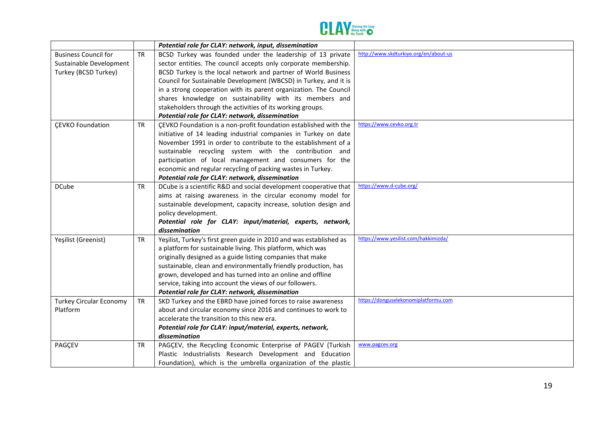

|                                |           | Potential role for CLAY: network, input, dissemination              |                                       |
|--------------------------------|-----------|---------------------------------------------------------------------|---------------------------------------|
| <b>Business Council for</b>    | <b>TR</b> | BCSD Turkey was founded under the leadership of 13 private          | http://www.skdturkiye.org/en/about-us |
| Sustainable Development        |           | sector entities. The council accepts only corporate membership.     |                                       |
| Turkey (BCSD Turkey)           |           | BCSD Turkey is the local network and partner of World Business      |                                       |
|                                |           | Council for Sustainable Development (WBCSD) in Turkey, and it is    |                                       |
|                                |           | in a strong cooperation with its parent organization. The Council   |                                       |
|                                |           | shares knowledge on sustainability with its members and             |                                       |
|                                |           | stakeholders through the activities of its working groups.          |                                       |
|                                |           | Potential role for CLAY: network, dissemination                     |                                       |
| <b>ÇEVKO Foundation</b>        | <b>TR</b> | ÇEVKO Foundation is a non-profit foundation established with the    | https://www.cevko.org.tr              |
|                                |           | initiative of 14 leading industrial companies in Turkey on date     |                                       |
|                                |           | November 1991 in order to contribute to the establishment of a      |                                       |
|                                |           | sustainable recycling system with the contribution and              |                                       |
|                                |           | participation of local management and consumers for the             |                                       |
|                                |           | economic and regular recycling of packing wastes in Turkey.         |                                       |
|                                |           | Potential role for CLAY: network, dissemination                     |                                       |
| <b>DCube</b>                   | <b>TR</b> | DCube is a scientific R&D and social development cooperative that   | https://www.d-cube.org/               |
|                                |           | aims at raising awareness in the circular economy model for         |                                       |
|                                |           | sustainable development, capacity increase, solution design and     |                                       |
|                                |           | policy development.                                                 |                                       |
|                                |           | Potential role for CLAY: input/material, experts, network,          |                                       |
|                                |           | dissemination                                                       |                                       |
| Yeşilist (Greenist)            | <b>TR</b> | Yeşilist, Turkey's first green guide in 2010 and was established as | https://www.yesilist.com/hakkimizda/  |
|                                |           | a platform for sustainable living. This platform, which was         |                                       |
|                                |           | originally designed as a guide listing companies that make          |                                       |
|                                |           | sustainable, clean and environmentally friendly production, has     |                                       |
|                                |           | grown, developed and has turned into an online and offline          |                                       |
|                                |           | service, taking into account the views of our followers.            |                                       |
|                                |           | Potential role for CLAY: network, dissemination                     |                                       |
| <b>Turkey Circular Economy</b> | <b>TR</b> | SKD Turkey and the EBRD have joined forces to raise awareness       | https://donguselekonomiplatformu.com  |
| Platform                       |           | about and circular economy since 2016 and continues to work to      |                                       |
|                                |           | accelerate the transition to this new era.                          |                                       |
|                                |           | Potential role for CLAY: input/material, experts, network,          |                                       |
|                                |           | dissemination                                                       |                                       |
| PAGÇEV                         | TR        | PAGÇEV, the Recycling Economic Enterprise of PAGEV (Turkish         | www.pagcev.org                        |
|                                |           | Plastic Industrialists Research Development and Education           |                                       |
|                                |           | Foundation), which is the umbrella organization of the plastic      |                                       |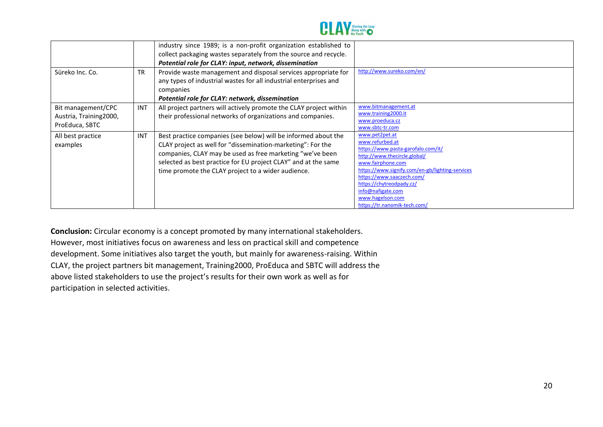

| Süreko Inc. Co.                                                 | <b>TR</b>  | industry since 1989; is a non-profit organization established to<br>collect packaging wastes separately from the source and recycle.<br>Potential role for CLAY: input, network, dissemination<br>Provide waste management and disposal services appropriate for<br>any types of industrial wastes for all industrial enterprises and<br>companies<br>Potential role for CLAY: network, dissemination | http://www.sureko.com/en/                                                                                                                                                                                                                                                                                         |
|-----------------------------------------------------------------|------------|-------------------------------------------------------------------------------------------------------------------------------------------------------------------------------------------------------------------------------------------------------------------------------------------------------------------------------------------------------------------------------------------------------|-------------------------------------------------------------------------------------------------------------------------------------------------------------------------------------------------------------------------------------------------------------------------------------------------------------------|
| Bit management/CPC<br>Austria, Training 2000,<br>ProEduca, SBTC | <b>INT</b> | All project partners will actively promote the CLAY project within<br>their professional networks of organizations and companies.                                                                                                                                                                                                                                                                     | www.bitmanagement.at<br>www.training2000.it<br>www.proeduca.cz<br>www.sbtc-tr.com                                                                                                                                                                                                                                 |
| All best practice<br>examples                                   | <b>INT</b> | Best practice companies (see below) will be informed about the<br>CLAY project as well for "dissemination-marketing": For the<br>companies, CLAY may be used as free marketing "we've been<br>selected as best practice for EU project CLAY" and at the same<br>time promote the CLAY project to a wider audience.                                                                                    | www.pet2pet.at<br>www.refurbed.at<br>https://www.pasta-garofalo.com/it/<br>http://www.thecircle.global/<br>www.fairphone.com<br>https://www.signify.com/en-gb/lighting-services<br>https://www.saaczech.com/<br>https://chytreodpady.cz/<br>info@nafigate.com<br>www.hagelson.com<br>https://tr.nanomik-tech.com/ |

**Conclusion:** Circular economy is a concept promoted by many international stakeholders. However, most initiatives focus on awareness and less on practical skill and competence development. Some initiatives also target the youth, but mainly for awareness-raising. Within CLAY, the project partners bit management, Training2000, ProEduca and SBTC will address the above listed stakeholders to use the project's results for their own work as well as for participation in selected activities.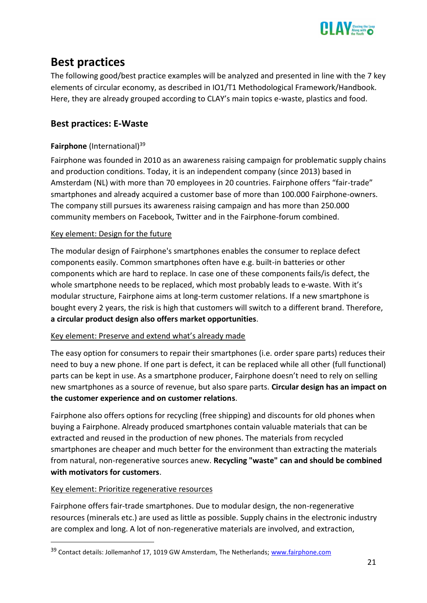

# <span id="page-22-0"></span>**Best practices**

The following good/best practice examples will be analyzed and presented in line with the 7 key elements of circular economy, as described in IO1/T1 Methodological Framework/Handbook. Here, they are already grouped according to CLAY's main topics e-waste, plastics and food.

# <span id="page-22-1"></span>**Best practices: E-Waste**

# <span id="page-22-2"></span>**Fairphone** (International)<sup>39</sup>

Fairphone was founded in 2010 as an awareness raising campaign for problematic supply chains and production conditions. Today, it is an independent company (since 2013) based in Amsterdam (NL) with more than 70 employees in 20 countries. Fairphone offers "fair-trade" smartphones and already acquired a customer base of more than 100.000 Fairphone-owners. The company still pursues its awareness raising campaign and has more than 250.000 community members on Facebook, Twitter and in the Fairphone-forum combined.

#### Key element: Design for the future

The modular design of Fairphone's smartphones enables the consumer to replace defect components easily. Common smartphones often have e.g. built-in batteries or other components which are hard to replace. In case one of these components fails/is defect, the whole smartphone needs to be replaced, which most probably leads to e-waste. With it's modular structure, Fairphone aims at long-term customer relations. If a new smartphone is bought every 2 years, the risk is high that customers will switch to a different brand. Therefore, **a circular product design also offers market opportunities**.

#### Key element: Preserve and extend what's already made

The easy option for consumers to repair their smartphones (i.e. order spare parts) reduces their need to buy a new phone. If one part is defect, it can be replaced while all other (full functional) parts can be kept in use. As a smartphone producer, Fairphone doesn't need to rely on selling new smartphones as a source of revenue, but also spare parts. **Circular design has an impact on the customer experience and on customer relations**.

Fairphone also offers options for recycling (free shipping) and discounts for old phones when buying a Fairphone. Already produced smartphones contain valuable materials that can be extracted and reused in the production of new phones. The materials from recycled smartphones are cheaper and much better for the environment than extracting the materials from natural, non-regenerative sources anew. **Recycling "waste" can and should be combined with motivators for customers**.

#### Key element: Prioritize regenerative resources

Fairphone offers fair-trade smartphones. Due to modular design, the non-regenerative resources (minerals etc.) are used as little as possible. Supply chains in the electronic industry are complex and long. A lot of non-regenerative materials are involved, and extraction,

<sup>&</sup>lt;sup>39</sup> Contact details: Jollemanhof 17, 1019 GW Amsterdam, The Netherlands; [www.fairphone.com](http://www.fairphone.com/)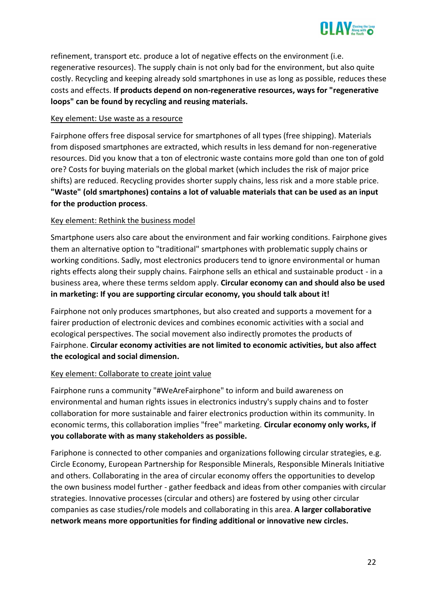

refinement, transport etc. produce a lot of negative effects on the environment (i.e. regenerative resources). The supply chain is not only bad for the environment, but also quite costly. Recycling and keeping already sold smartphones in use as long as possible, reduces these costs and effects. **If products depend on non-regenerative resources, ways for "regenerative loops" can be found by recycling and reusing materials.**

#### Key element: Use waste as a resource

Fairphone offers free disposal service for smartphones of all types (free shipping). Materials from disposed smartphones are extracted, which results in less demand for non-regenerative resources. Did you know that a ton of electronic waste contains more gold than one ton of gold ore? Costs for buying materials on the global market (which includes the risk of major price shifts) are reduced. Recycling provides shorter supply chains, less risk and a more stable price. **"Waste" (old smartphones) contains a lot of valuable materials that can be used as an input for the production process**.

#### Key element: Rethink the business model

Smartphone users also care about the environment and fair working conditions. Fairphone gives them an alternative option to "traditional" smartphones with problematic supply chains or working conditions. Sadly, most electronics producers tend to ignore environmental or human rights effects along their supply chains. Fairphone sells an ethical and sustainable product - in a business area, where these terms seldom apply. **Circular economy can and should also be used in marketing: If you are supporting circular economy, you should talk about it!**

Fairphone not only produces smartphones, but also created and supports a movement for a fairer production of electronic devices and combines economic activities with a social and ecological perspectives. The social movement also indirectly promotes the products of Fairphone. **Circular economy activities are not limited to economic activities, but also affect the ecological and social dimension.**

#### Key element: Collaborate to create joint value

Fairphone runs a community "#WeAreFairphone" to inform and build awareness on environmental and human rights issues in electronics industry's supply chains and to foster collaboration for more sustainable and fairer electronics production within its community. In economic terms, this collaboration implies "free" marketing. **Circular economy only works, if you collaborate with as many stakeholders as possible.**

Fariphone is connected to other companies and organizations following circular strategies, e.g. Circle Economy, European Partnership for Responsible Minerals, Responsible Minerals Initiative and others. Collaborating in the area of circular economy offers the opportunities to develop the own business model further - gather feedback and ideas from other companies with circular strategies. Innovative processes (circular and others) are fostered by using other circular companies as case studies/role models and collaborating in this area. **A larger collaborative network means more opportunities for finding additional or innovative new circles.**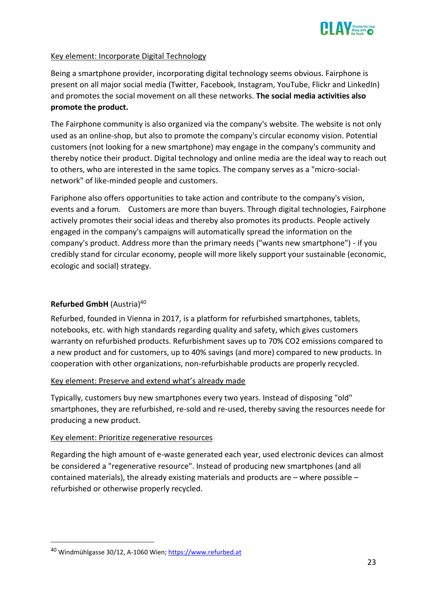

#### Key element: Incorporate Digital Technology

Being a smartphone provider, incorporating digital technology seems obvious. Fairphone is present on all major social media (Twitter, Facebook, Instagram, YouTube, Flickr and LinkedIn) and promotes the social movement on all these networks. **The social media activities also promote the product.**

The Fairphone community is also organized via the company's website. The website is not only used as an online-shop, but also to promote the company's circular economy vision. Potential customers (not looking for a new smartphone) may engage in the company's community and thereby notice their product. Digital technology and online media are the ideal way to reach out to others, who are interested in the same topics. The company serves as a "micro-socialnetwork" of like-minded people and customers.

Fariphone also offers opportunities to take action and contribute to the company's vision, events and a forum. Customers are more than buyers. Through digital technologies, Fairphone actively promotes their social ideas and thereby also promotes its products. People actively engaged in the company's campaigns will automatically spread the information on the company's product. Address more than the primary needs ("wants new smartphone") - if you credibly stand for circular economy, people will more likely support your sustainable (economic, ecologic and social) strategy.

## <span id="page-24-0"></span>**Refurbed GmbH** (Austria)<sup>40</sup>

Refurbed, founded in Vienna in 2017, is a platform for refurbished smartphones, tablets, notebooks, etc. with high standards regarding quality and safety, which gives customers warranty on refurbished products. Refurbishment saves up to 70% CO2 emissions compared to a new product and for customers, up to 40% savings (and more) compared to new products. In cooperation with other organizations, non-refurbishable products are properly recycled.

#### Key element: Preserve and extend what's already made

Typically, customers buy new smartphones every two years. Instead of disposing "old" smartphones, they are refurbished, re-sold and re-used, thereby saving the resources neede for producing a new product.

#### Key element: Prioritize regenerative resources

Regarding the high amount of e-waste generated each year, used electronic devices can almost be considered a "regenerative resource". Instead of producing new smartphones (and all contained materials), the already existing materials and products are – where possible – refurbished or otherwise properly recycled.

<sup>40</sup> Windmühlgasse 30/12, A-1060 Wien; [https://www.refurbed.at](https://www.refurbed.at/)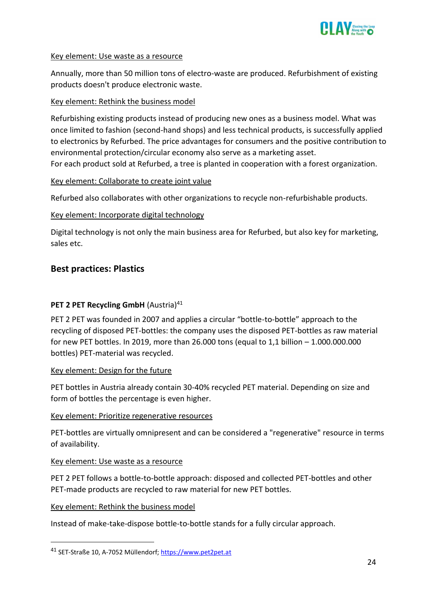

#### Key element: Use waste as a resource

Annually, more than 50 million tons of electro-waste are produced. Refurbishment of existing products doesn't produce electronic waste.

#### Key element: Rethink the business model

Refurbishing existing products instead of producing new ones as a business model. What was once limited to fashion (second-hand shops) and less technical products, is successfully applied to electronics by Refurbed. The price advantages for consumers and the positive contribution to environmental protection/circular economy also serve as a marketing asset. For each product sold at Refurbed, a tree is planted in cooperation with a forest organization.

#### Key element: Collaborate to create joint value

Refurbed also collaborates with other organizations to recycle non-refurbishable products.

#### Key element: Incorporate digital technology

Digital technology is not only the main business area for Refurbed, but also key for marketing, sales etc.

# <span id="page-25-0"></span>**Best practices: Plastics**

#### <span id="page-25-1"></span>**PET 2 PET Recycling GmbH** (Austria)<sup>41</sup>

PET 2 PET was founded in 2007 and applies a circular "bottle-to-bottle" approach to the recycling of disposed PET-bottles: the company uses the disposed PET-bottles as raw material for new PET bottles. In 2019, more than 26.000 tons (equal to 1,1 billion – 1.000.000.000 bottles) PET-material was recycled.

#### Key element: Design for the future

PET bottles in Austria already contain 30-40% recycled PET material. Depending on size and form of bottles the percentage is even higher.

#### Key element: Prioritize regenerative resources

PET-bottles are virtually omnipresent and can be considered a "regenerative" resource in terms of availability.

#### Key element: Use waste as a resource

PET 2 PET follows a bottle-to-bottle approach: disposed and collected PET-bottles and other PET-made products are recycled to raw material for new PET bottles.

#### Key element: Rethink the business model

Instead of make-take-dispose bottle-to-bottle stands for a fully circular approach.

<sup>41</sup> SET-Straße 10, A-7052 Müllendorf; [https://www.pet2pet.at](https://www.pet2pet.at/)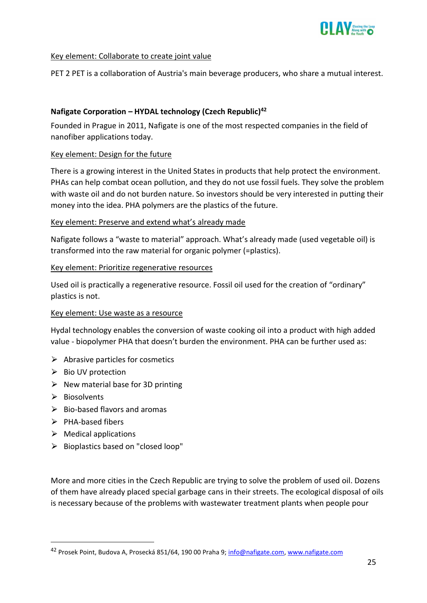

#### Key element: Collaborate to create joint value

PET 2 PET is a collaboration of Austria's main beverage producers, who share a mutual interest.

#### <span id="page-26-0"></span>**Nafigate Corporation – HYDAL technology (Czech Republic)<sup>42</sup>**

Founded in Prague in 2011, Nafigate is one of the most respected companies in the field of nanofiber applications today.

#### Key element: Design for the future

There is a growing interest in the United States in products that help protect the environment. PHAs can help combat ocean pollution, and they do not use fossil fuels. They solve the problem with waste oil and do not burden nature. So investors should be very interested in putting their money into the idea. PHA polymers are the plastics of the future.

#### Key element: Preserve and extend what's already made

Nafigate follows a "waste to material" approach. What's already made (used vegetable oil) is transformed into the raw material for organic polymer (=plastics).

#### Key element: Prioritize regenerative resources

Used oil is practically a regenerative resource. Fossil oil used for the creation of "ordinary" plastics is not.

#### Key element: Use waste as a resource

Hydal technology enables the conversion of waste cooking oil into a product with high added value - biopolymer PHA that doesn't burden the environment. PHA can be further used as:

- $\triangleright$  Abrasive particles for cosmetics
- ⮚ Bio UV protection
- $\triangleright$  New material base for 3D printing
- $\triangleright$  Biosolvents
- $\triangleright$  Bio-based flavors and aromas
- $\triangleright$  PHA-based fibers
- $\triangleright$  Medical applications
- ⮚ Bioplastics based on "closed loop"

More and more cities in the Czech Republic are trying to solve the problem of used oil. Dozens of them have already placed special garbage cans in their streets. The ecological disposal of oils is necessary because of the problems with wastewater treatment plants when people pour

<sup>&</sup>lt;sup>42</sup> Prosek Point, Budova A, Prosecká 851/64, 190 00 Praha 9; [info@nafigate.com,](mailto:info@nafigate.com) [www.nafigate.com](http://www.nafigate.com/)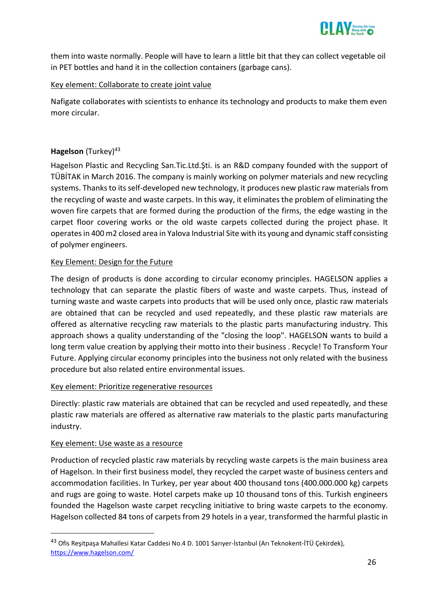

them into waste normally. People will have to learn a little bit that they can collect vegetable oil in PET bottles and hand it in the collection containers (garbage cans).

#### Key element: Collaborate to create joint value

Nafigate collaborates with scientists to enhance its technology and products to make them even more circular.

#### <span id="page-27-0"></span>**Hagelson** (Turkey)<sup>43</sup>

Hagelson Plastic and Recycling San.Tic.Ltd.Şti. is an R&D company founded with the support of TÜBİTAK in March 2016. The company is mainly working on polymer materials and new recycling systems. Thanks to its self-developed new technology, it produces new plastic raw materials from the recycling of waste and waste carpets. In this way, it eliminates the problem of eliminating the woven fire carpets that are formed during the production of the firms, the edge wasting in the carpet floor covering works or the old waste carpets collected during the project phase. It operates in 400 m2 closed area in Yalova Industrial Site with its young and dynamic staff consisting of polymer engineers.

#### Key Element: Design for the Future

The design of products is done according to circular economy principles. HAGELSON applies a technology that can separate the plastic fibers of waste and waste carpets. Thus, instead of turning waste and waste carpets into products that will be used only once, plastic raw materials are obtained that can be recycled and used repeatedly, and these plastic raw materials are offered as alternative recycling raw materials to the plastic parts manufacturing industry. This approach shows a quality understanding of the "closing the loop". HAGELSON wants to build a long term value creation by applying their motto into their business . Recycle! To Transform Your Future. Applying circular economy principles into the business not only related with the business procedure but also related entire environmental issues.

#### Key element: Prioritize regenerative resources

Directly: plastic raw materials are obtained that can be recycled and used repeatedly, and these plastic raw materials are offered as alternative raw materials to the plastic parts manufacturing industry.

#### Key element: Use waste as a resource

Production of recycled plastic raw materials by recycling waste carpets is the main business area of Hagelson. In their first business model, they recycled the carpet waste of business centers and accommodation facilities. In Turkey, per year about 400 thousand tons (400.000.000 kg) carpets and rugs are going to waste. Hotel carpets make up 10 thousand tons of this. Turkish engineers founded the Hagelson waste carpet recycling initiative to bring waste carpets to the economy. Hagelson collected 84 tons of carpets from 29 hotels in a year, transformed the harmful plastic in

<sup>&</sup>lt;sup>43</sup> Ofis Reşitpaşa Mahallesi Katar Caddesi No.4 D. 1001 Sarıyer-İstanbul (Arı Teknokent-İTÜ Çekirdek), <https://www.hagelson.com/>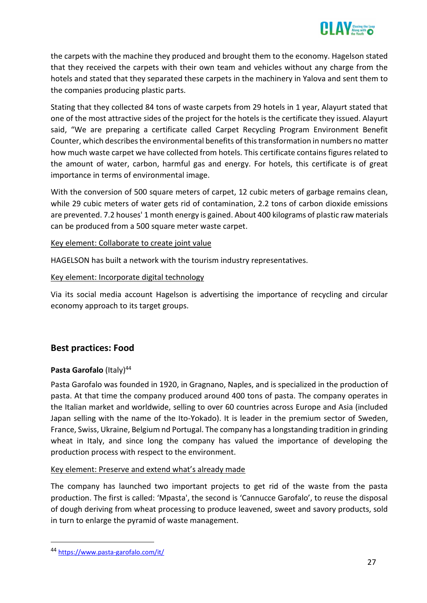

the carpets with the machine they produced and brought them to the economy. Hagelson stated that they received the carpets with their own team and vehicles without any charge from the hotels and stated that they separated these carpets in the machinery in Yalova and sent them to the companies producing plastic parts.

Stating that they collected 84 tons of waste carpets from 29 hotels in 1 year, Alayurt stated that one of the most attractive sides of the project for the hotels is the certificate they issued. Alayurt said, "We are preparing a certificate called Carpet Recycling Program Environment Benefit Counter, which describes the environmental benefits of this transformation in numbers no matter how much waste carpet we have collected from hotels. This certificate contains figures related to the amount of water, carbon, harmful gas and energy. For hotels, this certificate is of great importance in terms of environmental image.

With the conversion of 500 square meters of carpet, 12 cubic meters of garbage remains clean, while 29 cubic meters of water gets rid of contamination, 2.2 tons of carbon dioxide emissions are prevented. 7.2 houses' 1 month energy is gained. About 400 kilograms of plastic raw materials can be produced from a 500 square meter waste carpet.

#### Key element: Collaborate to create joint value

HAGELSON has built a network with the tourism industry representatives.

#### Key element: Incorporate digital technology

Via its social media account Hagelson is advertising the importance of recycling and circular economy approach to its target groups.

# <span id="page-28-0"></span>**Best practices: Food**

#### <span id="page-28-1"></span>Pasta Garofalo (Italy)<sup>44</sup>

Pasta Garofalo was founded in 1920, in Gragnano, Naples, and is specialized in the production of pasta. At that time the company produced around 400 tons of pasta. The company operates in the Italian market and worldwide, selling to over 60 countries across Europe and Asia (included Japan selling with the name of the Ito-Yokado). It is leader in the premium sector of Sweden, France, Swiss, Ukraine, Belgium nd Portugal. The company has a longstanding tradition in grinding wheat in Italy, and since long the company has valued the importance of developing the production process with respect to the environment.

#### Key element: Preserve and extend what's already made

The company has launched two important projects to get rid of the waste from the pasta production. The first is called: 'Mpasta', the second is 'Cannucce Garofalo', to reuse the disposal of dough deriving from wheat processing to produce leavened, sweet and savory products, sold in turn to enlarge the pyramid of waste management.

<sup>44</sup> <https://www.pasta-garofalo.com/it/>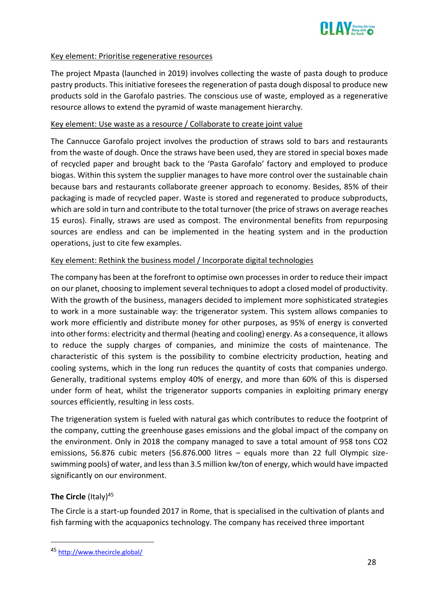

#### Key element: Prioritise regenerative resources

The project Mpasta (launched in 2019) involves collecting the waste of pasta dough to produce pastry products. This initiative foresees the regeneration of pasta dough disposal to produce new products sold in the Garofalo pastries. The conscious use of waste, employed as a regenerative resource allows to extend the pyramid of waste management hierarchy.

#### Key element: Use waste as a resource / Collaborate to create joint value

The Cannucce Garofalo project involves the production of straws sold to bars and restaurants from the waste of dough. Once the straws have been used, they are stored in special boxes made of recycled paper and brought back to the 'Pasta Garofalo' factory and employed to produce biogas. Within this system the supplier manages to have more control over the sustainable chain because bars and restaurants collaborate greener approach to economy. Besides, 85% of their packaging is made of recycled paper. Waste is stored and regenerated to produce subproducts, which are sold in turn and contribute to the total turnover (the price of straws on average reaches 15 euros). Finally, straws are used as compost. The environmental benefits from repurposing sources are endless and can be implemented in the heating system and in the production operations, just to cite few examples.

#### Key element: Rethink the business model / Incorporate digital technologies

The company has been at the forefront to optimise own processes in order to reduce their impact on our planet, choosing to implement several techniques to adopt a closed model of productivity. With the growth of the business, managers decided to implement more sophisticated strategies to work in a more sustainable way: the trigenerator system. This system allows companies to work more efficiently and distribute money for other purposes, as 95% of energy is converted into other forms: electricity and thermal (heating and cooling) energy. As a consequence, it allows to reduce the supply charges of companies, and minimize the costs of maintenance. The characteristic of this system is the possibility to combine electricity production, heating and cooling systems, which in the long run reduces the quantity of costs that companies undergo. Generally, traditional systems employ 40% of energy, and more than 60% of this is dispersed under form of heat, whilst the trigenerator supports companies in exploiting primary energy sources efficiently, resulting in less costs.

The trigeneration system is fueled with natural gas which contributes to reduce the footprint of the company, cutting the greenhouse gases emissions and the global impact of the company on the environment. Only in 2018 the company managed to save a total amount of 958 tons CO2 emissions, 56.876 cubic meters (56.876.000 litres – equals more than 22 full Olympic sizeswimming pools) of water, and less than 3.5 million kw/ton of energy, which would have impacted significantly on our environment.

#### <span id="page-29-0"></span>**The Circle** (Italy)<sup>45</sup>

The Circle is a start-up founded 2017 in Rome, that is specialised in the cultivation of plants and fish farming with the acquaponics technology. The company has received three important

<sup>45</sup> <http://www.thecircle.global/>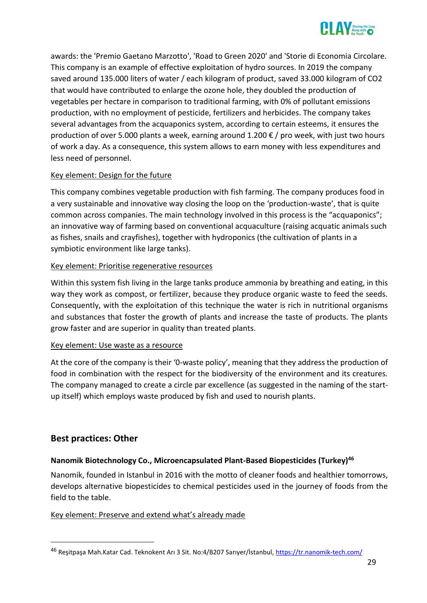

awards: the 'Premio Gaetano Marzotto', 'Road to Green 2020' and 'Storie di Economia Circolare. This company is an example of effective exploitation of hydro sources. In 2019 the company saved around 135.000 liters of water / each kilogram of product, saved 33.000 kilogram of CO2 that would have contributed to enlarge the ozone hole, they doubled the production of vegetables per hectare in comparison to traditional farming, with 0% of pollutant emissions production, with no employment of pesticide, fertilizers and herbicides. The company takes several advantages from the acquaponics system, according to certain esteems, it ensures the production of over 5.000 plants a week, earning around 1.200 € / pro week, with just two hours of work a day. As a consequence, this system allows to earn money with less expenditures and less need of personnel.

#### Key element: Design for the future

This company combines vegetable production with fish farming. The company produces food in a very sustainable and innovative way closing the loop on the 'production-waste', that is quite common across companies. The main technology involved in this process is the "acquaponics"; an innovative way of farming based on conventional acquaculture (raising acquatic animals such as fishes, snails and crayfishes), together with hydroponics (the cultivation of plants in a symbiotic environment like large tanks).

#### Key element: Prioritise regenerative resources

Within this system fish living in the large tanks produce ammonia by breathing and eating, in this way they work as compost, or fertilizer, because they produce organic waste to feed the seeds. Consequently, with the exploitation of this technique the water is rich in nutritional organisms and substances that foster the growth of plants and increase the taste of products. The plants grow faster and are superior in quality than treated plants.

#### Key element: Use waste as a resource

At the core of the company is their '0-waste policy', meaning that they address the production of food in combination with the respect for the biodiversity of the environment and its creatures. The company managed to create a circle par excellence (as suggested in the naming of the startup itself) which employs waste produced by fish and used to nourish plants.

# <span id="page-30-0"></span>**Best practices: Other**

#### <span id="page-30-1"></span>**Nanomik Biotechnology Co., Microencapsulated Plant-Based Biopesticides (Turkey)<sup>46</sup>**

Nanomik, founded in Istanbul in 2016 with the motto of cleaner foods and healthier tomorrows, develops alternative biopesticides to chemical pesticides used in the journey of foods from the field to the table.

#### Key element: Preserve and extend what's already made

<sup>46</sup> Resitpaşa Mah.Katar Cad. Teknokent Arı 3 Sit. No:4/B207 Sarıyer/İstanbul, <https://tr.nanomik-tech.com/>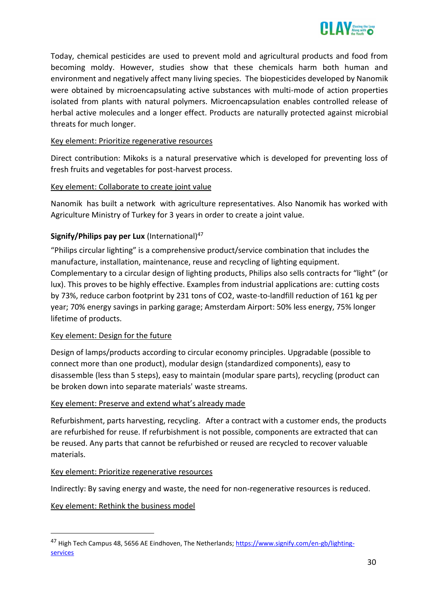

Today, chemical pesticides are used to prevent mold and agricultural products and food from becoming moldy. However, studies show that these chemicals harm both human and environment and negatively affect many living species. The biopesticides developed by Nanomik were obtained by microencapsulating active substances with multi-mode of action properties isolated from plants with natural polymers. Microencapsulation enables controlled release of herbal active molecules and a longer effect. Products are naturally protected against microbial threats for much longer.

#### Key element: Prioritize regenerative resources

Direct contribution: Mikoks is a natural preservative which is developed for preventing loss of fresh fruits and vegetables for post-harvest process.

#### Key element: Collaborate to create joint value

Nanomik has built a network with agriculture representatives. Also Nanomik has worked with Agriculture Ministry of Turkey for 3 years in order to create a joint value.

# <span id="page-31-0"></span>**Signify/Philips pay per Lux** (International)<sup>47</sup>

"Philips circular lighting" is a comprehensive product/service combination that includes the manufacture, installation, maintenance, reuse and recycling of lighting equipment. Complementary to a circular design of lighting products, Philips also sells contracts for "light" (or lux). This proves to be highly effective. Examples from industrial applications are: cutting costs by 73%, reduce carbon footprint by 231 tons of CO2, waste-to-landfill reduction of 161 kg per year; 70% energy savings in parking garage; Amsterdam Airport: 50% less energy, 75% longer lifetime of products.

#### Key element: Design for the future

Design of lamps/products according to circular economy principles. Upgradable (possible to connect more than one product), modular design (standardized components), easy to disassemble (less than 5 steps), easy to maintain (modular spare parts), recycling (product can be broken down into separate materials' waste streams.

#### Key element: Preserve and extend what's already made

Refurbishment, parts harvesting, recycling. After a contract with a customer ends, the products are refurbished for reuse. If refurbishment is not possible, components are extracted that can be reused. Any parts that cannot be refurbished or reused are recycled to recover valuable materials.

#### Key element: Prioritize regenerative resources

Indirectly: By saving energy and waste, the need for non-regenerative resources is reduced.

#### Key element: Rethink the business model

<sup>&</sup>lt;sup>47</sup> High Tech Campus 48, 5656 AE Eindhoven, The Netherlands[; https://www.signify.com/en-gb/lighting](https://www.signify.com/en-gb/lighting-services)[services](https://www.signify.com/en-gb/lighting-services)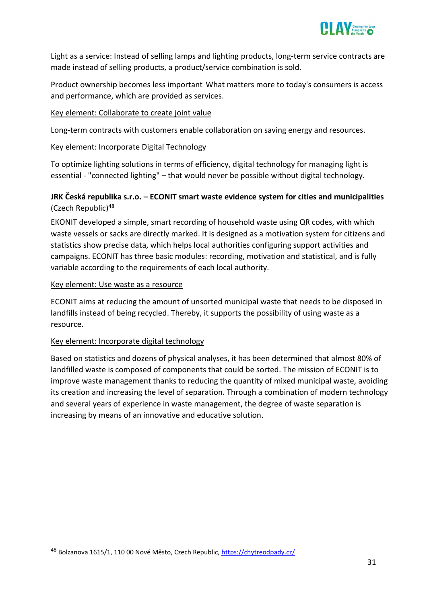

Light as a service: Instead of selling lamps and lighting products, long-term service contracts are made instead of selling products, a product/service combination is sold.

Product ownership becomes less important What matters more to today's consumers is access and performance, which are provided as services.

#### Key element: Collaborate to create joint value

Long-term contracts with customers enable collaboration on saving energy and resources.

#### Key element: Incorporate Digital Technology

To optimize lighting solutions in terms of efficiency, digital technology for managing light is essential - "connected lighting" – that would never be possible without digital technology.

# <span id="page-32-0"></span>**JRK Česká republika s.r.o. – ECONIT smart waste evidence system for cities and municipalities**  (Czech Republic)<sup>48</sup>

EKONIT developed a simple, smart recording of household waste using QR codes, with which waste vessels or sacks are directly marked. It is designed as a motivation system for citizens and statistics show precise data, which helps local authorities configuring support activities and campaigns. ECONIT has three basic modules: recording, motivation and statistical, and is fully variable according to the requirements of each local authority.

#### Key element: Use waste as a resource

ECONIT aims at reducing the amount of unsorted municipal waste that needs to be disposed in landfills instead of being recycled. Thereby, it supports the possibility of using waste as a resource.

#### Key element: Incorporate digital technology

Based on statistics and dozens of physical analyses, it has been determined that almost 80% of landfilled waste is composed of components that could be sorted. The mission of ECONIT is to improve waste management thanks to reducing the quantity of mixed municipal waste, avoiding its creation and increasing the level of separation. Through a combination of modern technology and several years of experience in waste management, the degree of waste separation is increasing by means of an innovative and educative solution.

<sup>48</sup> Bolzanova 1615/1, 110 00 Nové Město, Czech Republic, <https://chytreodpady.cz/>